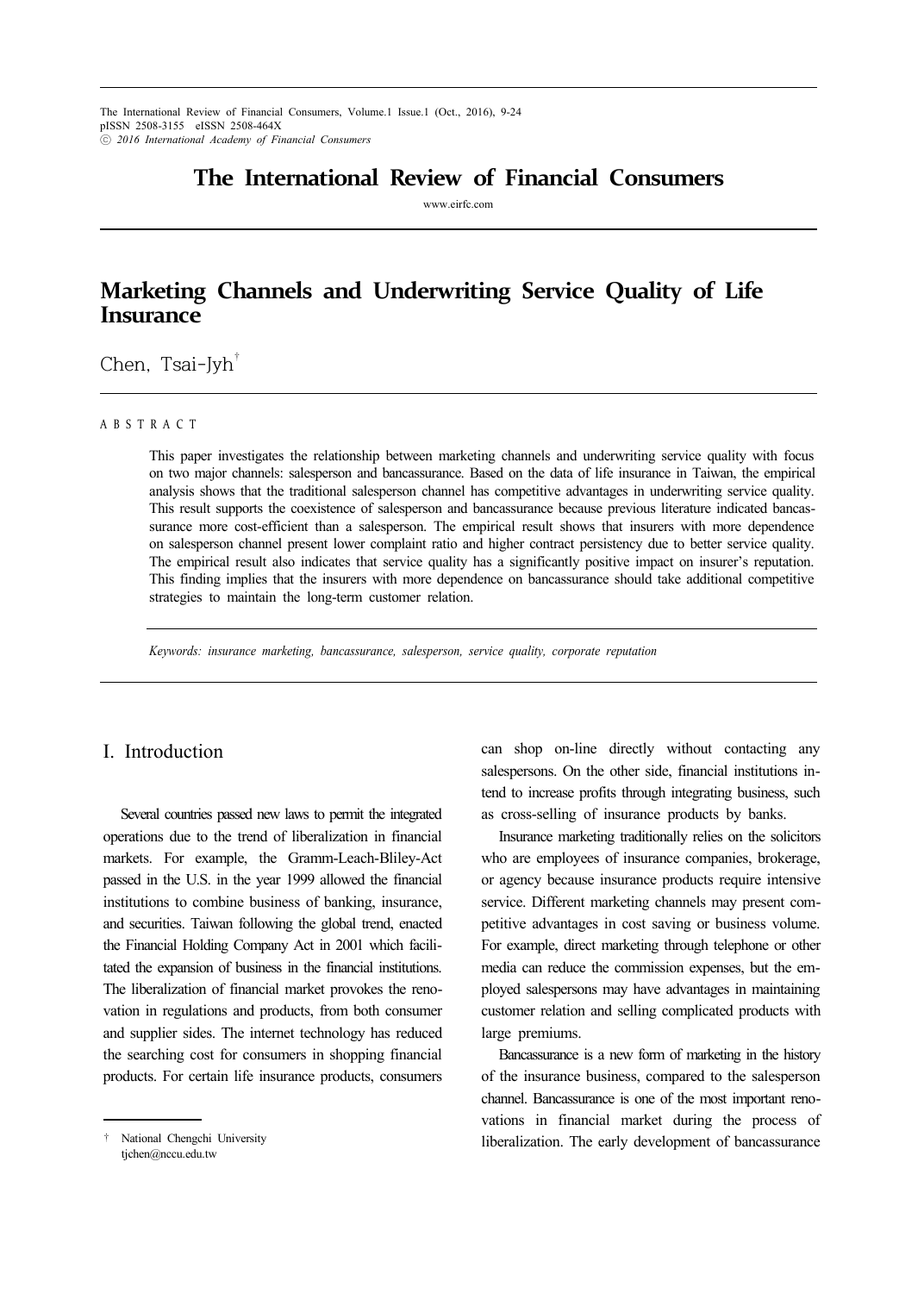The International Review of Financial Consumers, Volume.1 Issue.1 (Oct., 2016), 9-24 pISSN 2508-3155 eISSN 2508-464X ⓒ *2016 International Academy of Financial Consumers*

## **The International Review of Financial Consumers**

www.eirfc.com

# **Marketing Channels and Underwriting Service Quality of Life Insurance**

Chen, Tsai-Jyh $\overline{b}$ 

#### A B S T R A C T

This paper investigates the relationship between marketing channels and underwriting service quality with focus on two major channels: salesperson and bancassurance. Based on the data of life insurance in Taiwan, the empirical analysis shows that the traditional salesperson channel has competitive advantages in underwriting service quality. This result supports the coexistence of salesperson and bancassurance because previous literature indicated bancassurance more cost-efficient than a salesperson. The empirical result shows that insurers with more dependence on salesperson channel present lower complaint ratio and higher contract persistency due to better service quality. The empirical result also indicates that service quality has a significantly positive impact on insurer's reputation. This finding implies that the insurers with more dependence on bancassurance should take additional competitive strategies to maintain the long-term customer relation.

*Keywords: insurance marketing, bancassurance, salesperson, service quality, corporate reputation*

## I. Introduction

Several countries passed new laws to permit the integrated operations due to the trend of liberalization in financial markets. For example, the Gramm-Leach-Bliley-Act passed in the U.S. in the year 1999 allowed the financial institutions to combine business of banking, insurance, and securities. Taiwan following the global trend, enacted the Financial Holding Company Act in 2001 which facilitated the expansion of business in the financial institutions. The liberalization of financial market provokes the renovation in regulations and products, from both consumer and supplier sides. The internet technology has reduced the searching cost for consumers in shopping financial products. For certain life insurance products, consumers

can shop on-line directly without contacting any salespersons. On the other side, financial institutions intend to increase profits through integrating business, such as cross-selling of insurance products by banks.

Insurance marketing traditionally relies on the solicitors who are employees of insurance companies, brokerage, or agency because insurance products require intensive service. Different marketing channels may present competitive advantages in cost saving or business volume. For example, direct marketing through telephone or other media can reduce the commission expenses, but the employed salespersons may have advantages in maintaining customer relation and selling complicated products with large premiums.

Bancassurance is a new form of marketing in the history of the insurance business, compared to the salesperson channel. Bancassurance is one of the most important renovations in financial market during the process of liberalization. The early development of bancassurance

<sup>†</sup> National Chengchi University tjchen@nccu.edu.tw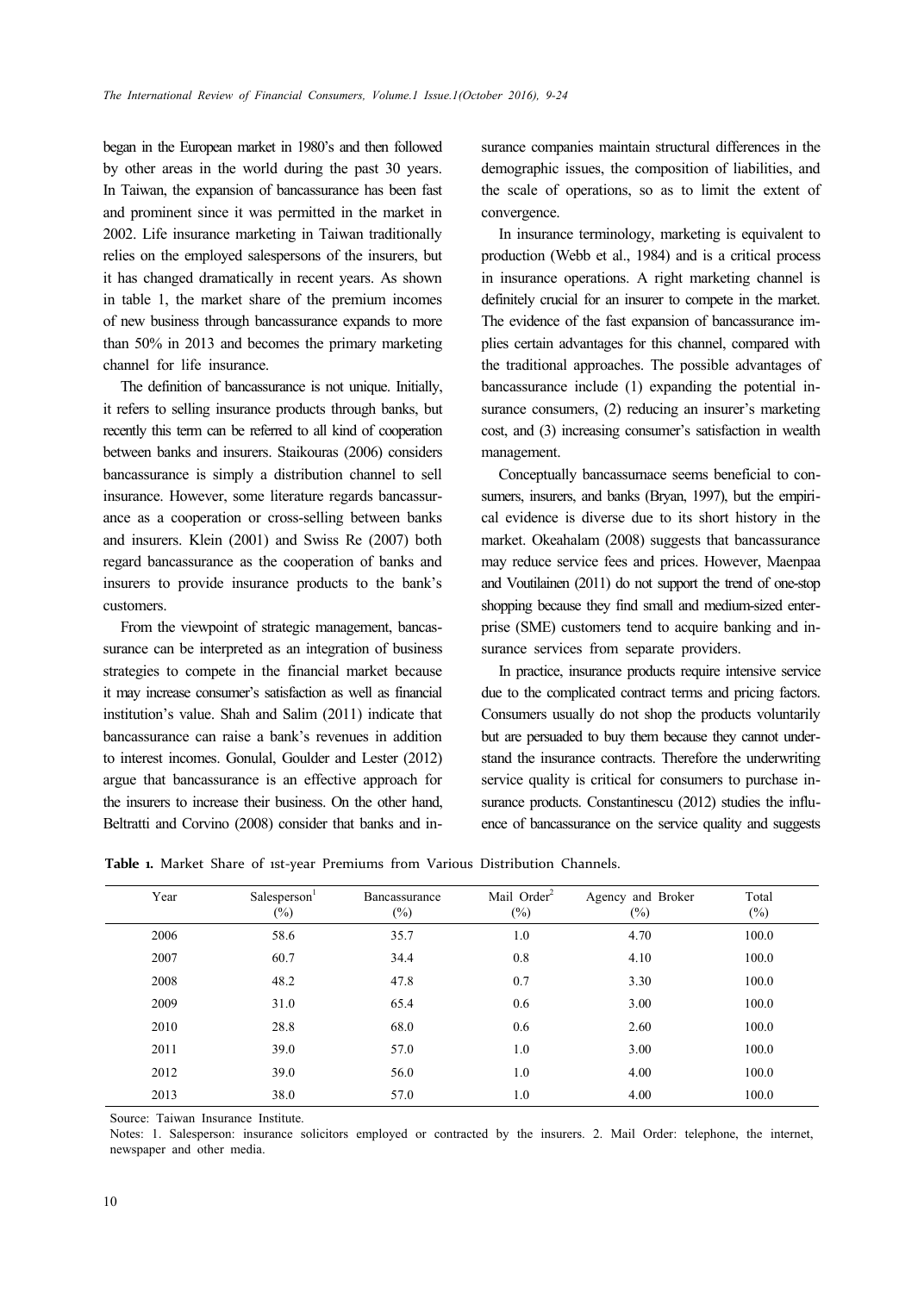began in the European market in 1980's and then followed by other areas in the world during the past 30 years. In Taiwan, the expansion of bancassurance has been fast and prominent since it was permitted in the market in 2002. Life insurance marketing in Taiwan traditionally relies on the employed salespersons of the insurers, but it has changed dramatically in recent years. As shown in table 1, the market share of the premium incomes of new business through bancassurance expands to more than 50% in 2013 and becomes the primary marketing channel for life insurance.

The definition of bancassurance is not unique. Initially, it refers to selling insurance products through banks, but recently this term can be referred to all kind of cooperation between banks and insurers. Staikouras (2006) considers bancassurance is simply a distribution channel to sell insurance. However, some literature regards bancassurance as a cooperation or cross-selling between banks and insurers. Klein (2001) and Swiss Re (2007) both regard bancassurance as the cooperation of banks and insurers to provide insurance products to the bank's customers.

From the viewpoint of strategic management, bancassurance can be interpreted as an integration of business strategies to compete in the financial market because it may increase consumer's satisfaction as well as financial institution's value. Shah and Salim (2011) indicate that bancassurance can raise a bank's revenues in addition to interest incomes. Gonulal, Goulder and Lester (2012) argue that bancassurance is an effective approach for the insurers to increase their business. On the other hand, Beltratti and Corvino (2008) consider that banks and insurance companies maintain structural differences in the demographic issues, the composition of liabilities, and the scale of operations, so as to limit the extent of convergence.

In insurance terminology, marketing is equivalent to production (Webb et al., 1984) and is a critical process in insurance operations. A right marketing channel is definitely crucial for an insurer to compete in the market. The evidence of the fast expansion of bancassurance implies certain advantages for this channel, compared with the traditional approaches. The possible advantages of bancassurance include (1) expanding the potential insurance consumers, (2) reducing an insurer's marketing cost, and (3) increasing consumer's satisfaction in wealth management.

Conceptually bancassurnace seems beneficial to consumers, insurers, and banks (Bryan, 1997), but the empirical evidence is diverse due to its short history in the market. Okeahalam (2008) suggests that bancassurance may reduce service fees and prices. However, Maenpaa and Voutilainen (2011) do not support the trend of one-stop shopping because they find small and medium-sized enterprise (SME) customers tend to acquire banking and insurance services from separate providers.

In practice, insurance products require intensive service due to the complicated contract terms and pricing factors. Consumers usually do not shop the products voluntarily but are persuaded to buy them because they cannot understand the insurance contracts. Therefore the underwriting service quality is critical for consumers to purchase insurance products. Constantinescu (2012) studies the influence of bancassurance on the service quality and suggests

Table **1.** Market Share of 1st-year Premiums from Various Distribution Channels.

| Year | Salesperson'<br>$(\%)$ | Bancassurance<br>$(\%)$ | Mail Order <sup>2</sup><br>$(\%)$ | Agency and Broker<br>$(\%)$ | Total<br>$(\%)$ |
|------|------------------------|-------------------------|-----------------------------------|-----------------------------|-----------------|
| 2006 | 58.6                   | 35.7                    | 1.0                               | 4.70                        | 100.0           |
| 2007 | 60.7                   | 34.4                    | 0.8                               | 4.10                        | 100.0           |
| 2008 | 48.2                   | 47.8                    | 0.7                               | 3.30                        | 100.0           |
| 2009 | 31.0                   | 65.4                    | 0.6                               | 3.00                        | 100.0           |
| 2010 | 28.8                   | 68.0                    | 0.6                               | 2.60                        | 100.0           |
| 2011 | 39.0                   | 57.0                    | 1.0                               | 3.00                        | 100.0           |
| 2012 | 39.0                   | 56.0                    | 1.0                               | 4.00                        | 100.0           |
| 2013 | 38.0                   | 57.0                    | 1.0                               | 4.00                        | 100.0           |

Source: Taiwan Insurance Institute.

Notes: 1. Salesperson: insurance solicitors employed or contracted by the insurers. 2. Mail Order: telephone, the internet, newspaper and other media.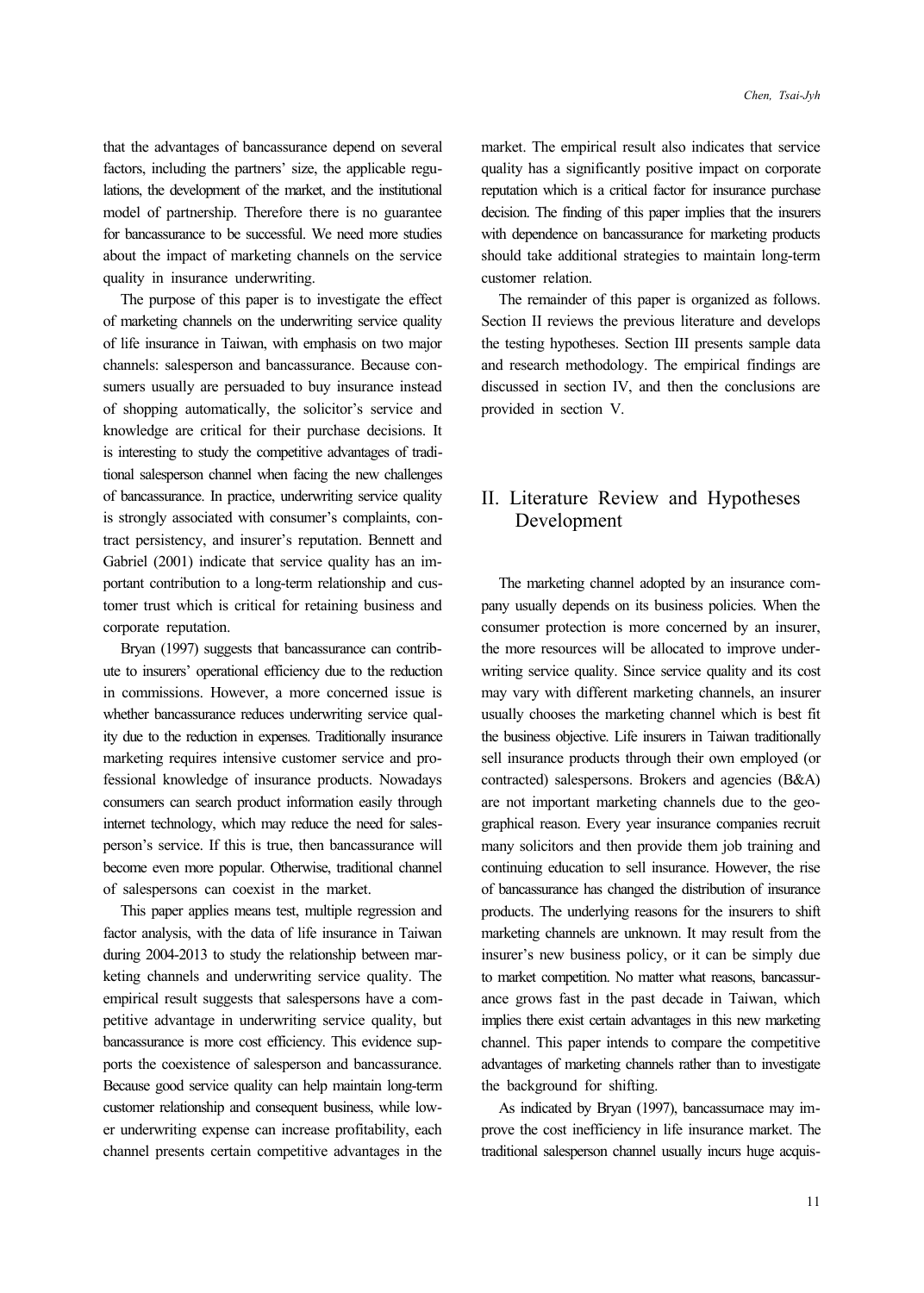that the advantages of bancassurance depend on several factors, including the partners' size, the applicable regulations, the development of the market, and the institutional model of partnership. Therefore there is no guarantee for bancassurance to be successful. We need more studies about the impact of marketing channels on the service quality in insurance underwriting.

The purpose of this paper is to investigate the effect of marketing channels on the underwriting service quality of life insurance in Taiwan, with emphasis on two major channels: salesperson and bancassurance. Because consumers usually are persuaded to buy insurance instead of shopping automatically, the solicitor's service and knowledge are critical for their purchase decisions. It is interesting to study the competitive advantages of traditional salesperson channel when facing the new challenges of bancassurance. In practice, underwriting service quality is strongly associated with consumer's complaints, contract persistency, and insurer's reputation. Bennett and Gabriel (2001) indicate that service quality has an important contribution to a long-term relationship and customer trust which is critical for retaining business and corporate reputation.

Bryan (1997) suggests that bancassurance can contribute to insurers' operational efficiency due to the reduction in commissions. However, a more concerned issue is whether bancassurance reduces underwriting service quality due to the reduction in expenses. Traditionally insurance marketing requires intensive customer service and professional knowledge of insurance products. Nowadays consumers can search product information easily through internet technology, which may reduce the need for salesperson's service. If this is true, then bancassurance will become even more popular. Otherwise, traditional channel of salespersons can coexist in the market.

This paper applies means test, multiple regression and factor analysis, with the data of life insurance in Taiwan during 2004-2013 to study the relationship between marketing channels and underwriting service quality. The empirical result suggests that salespersons have a competitive advantage in underwriting service quality, but bancassurance is more cost efficiency. This evidence supports the coexistence of salesperson and bancassurance. Because good service quality can help maintain long-term customer relationship and consequent business, while lower underwriting expense can increase profitability, each channel presents certain competitive advantages in the

market. The empirical result also indicates that service quality has a significantly positive impact on corporate reputation which is a critical factor for insurance purchase decision. The finding of this paper implies that the insurers with dependence on bancassurance for marketing products should take additional strategies to maintain long-term customer relation.

The remainder of this paper is organized as follows. Section II reviews the previous literature and develops the testing hypotheses. Section III presents sample data and research methodology. The empirical findings are discussed in section IV, and then the conclusions are provided in section V.

## II. Literature Review and Hypotheses Development

The marketing channel adopted by an insurance company usually depends on its business policies. When the consumer protection is more concerned by an insurer, the more resources will be allocated to improve underwriting service quality. Since service quality and its cost may vary with different marketing channels, an insurer usually chooses the marketing channel which is best fit the business objective. Life insurers in Taiwan traditionally sell insurance products through their own employed (or contracted) salespersons. Brokers and agencies (B&A) are not important marketing channels due to the geographical reason. Every year insurance companies recruit many solicitors and then provide them job training and continuing education to sell insurance. However, the rise of bancassurance has changed the distribution of insurance products. The underlying reasons for the insurers to shift marketing channels are unknown. It may result from the insurer's new business policy, or it can be simply due to market competition. No matter what reasons, bancassurance grows fast in the past decade in Taiwan, which implies there exist certain advantages in this new marketing channel. This paper intends to compare the competitive advantages of marketing channels rather than to investigate the background for shifting.

As indicated by Bryan (1997), bancassurnace may improve the cost inefficiency in life insurance market. The traditional salesperson channel usually incurs huge acquis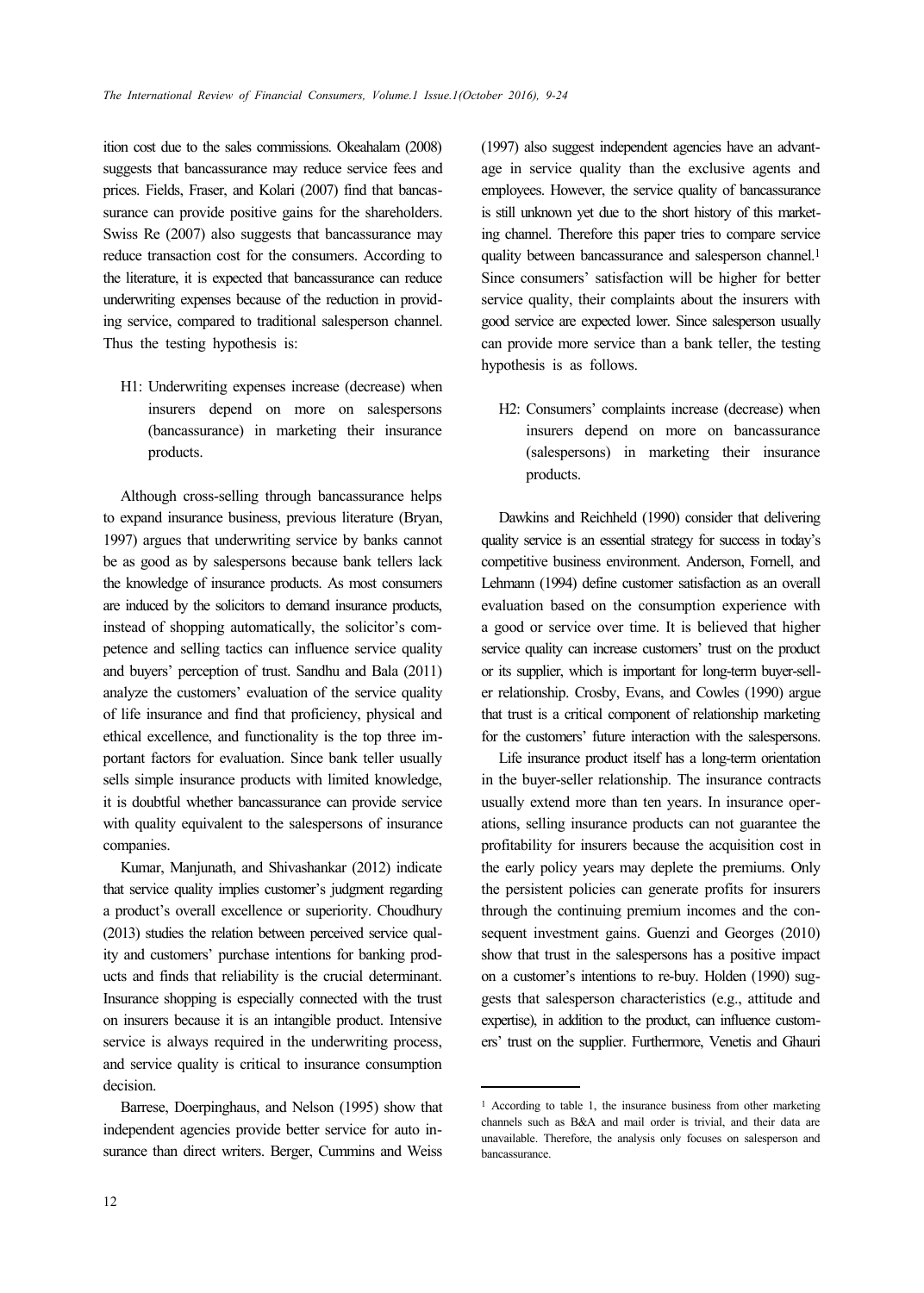ition cost due to the sales commissions. Okeahalam (2008) suggests that bancassurance may reduce service fees and prices. Fields, Fraser, and Kolari (2007) find that bancassurance can provide positive gains for the shareholders. Swiss Re (2007) also suggests that bancassurance may reduce transaction cost for the consumers. According to the literature, it is expected that bancassurance can reduce underwriting expenses because of the reduction in providing service, compared to traditional salesperson channel. Thus the testing hypothesis is:

H1: Underwriting expenses increase (decrease) when insurers depend on more on salespersons (bancassurance) in marketing their insurance products.

Although cross-selling through bancassurance helps to expand insurance business, previous literature (Bryan, 1997) argues that underwriting service by banks cannot be as good as by salespersons because bank tellers lack the knowledge of insurance products. As most consumers are induced by the solicitors to demand insurance products, instead of shopping automatically, the solicitor's competence and selling tactics can influence service quality and buyers' perception of trust. Sandhu and Bala (2011) analyze the customers' evaluation of the service quality of life insurance and find that proficiency, physical and ethical excellence, and functionality is the top three important factors for evaluation. Since bank teller usually sells simple insurance products with limited knowledge, it is doubtful whether bancassurance can provide service with quality equivalent to the salespersons of insurance companies.

Kumar, Manjunath, and Shivashankar (2012) indicate that service quality implies customer's judgment regarding a product's overall excellence or superiority. Choudhury (2013) studies the relation between perceived service quality and customers' purchase intentions for banking products and finds that reliability is the crucial determinant. Insurance shopping is especially connected with the trust on insurers because it is an intangible product. Intensive service is always required in the underwriting process, and service quality is critical to insurance consumption decision.

Barrese, Doerpinghaus, and Nelson (1995) show that independent agencies provide better service for auto insurance than direct writers. Berger, Cummins and Weiss

(1997) also suggest independent agencies have an advantage in service quality than the exclusive agents and employees. However, the service quality of bancassurance is still unknown yet due to the short history of this marketing channel. Therefore this paper tries to compare service quality between bancassurance and salesperson channel.<sup>1</sup> Since consumers' satisfaction will be higher for better service quality, their complaints about the insurers with good service are expected lower. Since salesperson usually can provide more service than a bank teller, the testing hypothesis is as follows.

H2: Consumers' complaints increase (decrease) when insurers depend on more on bancassurance (salespersons) in marketing their insurance products.

Dawkins and Reichheld (1990) consider that delivering quality service is an essential strategy for success in today's competitive business environment. Anderson, Fornell, and Lehmann (1994) define customer satisfaction as an overall evaluation based on the consumption experience with a good or service over time. It is believed that higher service quality can increase customers' trust on the product or its supplier, which is important for long-term buyer-seller relationship. Crosby, Evans, and Cowles (1990) argue that trust is a critical component of relationship marketing for the customers' future interaction with the salespersons.

Life insurance product itself has a long-term orientation in the buyer-seller relationship. The insurance contracts usually extend more than ten years. In insurance operations, selling insurance products can not guarantee the profitability for insurers because the acquisition cost in the early policy years may deplete the premiums. Only the persistent policies can generate profits for insurers through the continuing premium incomes and the consequent investment gains. Guenzi and Georges (2010) show that trust in the salespersons has a positive impact on a customer's intentions to re-buy. Holden (1990) suggests that salesperson characteristics (e.g., attitude and expertise), in addition to the product, can influence customers' trust on the supplier. Furthermore, Venetis and Ghauri

<sup>1</sup> According to table 1, the insurance business from other marketing channels such as B&A and mail order is trivial, and their data are unavailable. Therefore, the analysis only focuses on salesperson and bancassurance.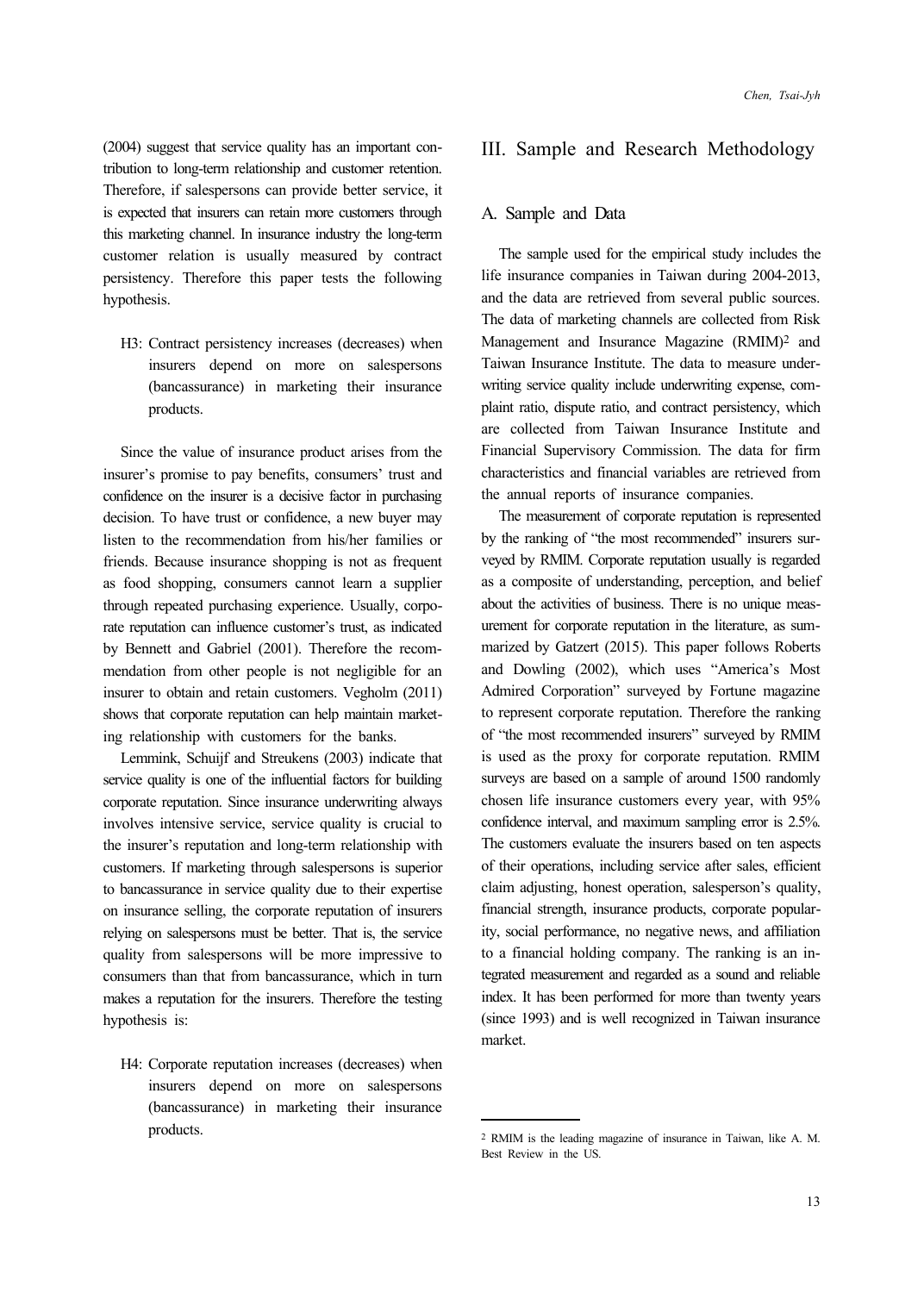(2004) suggest that service quality has an important contribution to long-term relationship and customer retention. Therefore, if salespersons can provide better service, it is expected that insurers can retain more customers through this marketing channel. In insurance industry the long-term customer relation is usually measured by contract persistency. Therefore this paper tests the following hypothesis.

H3: Contract persistency increases (decreases) when insurers depend on more on salespersons (bancassurance) in marketing their insurance products.

Since the value of insurance product arises from the insurer's promise to pay benefits, consumers' trust and confidence on the insurer is a decisive factor in purchasing decision. To have trust or confidence, a new buyer may listen to the recommendation from his/her families or friends. Because insurance shopping is not as frequent as food shopping, consumers cannot learn a supplier through repeated purchasing experience. Usually, corporate reputation can influence customer's trust, as indicated by Bennett and Gabriel (2001). Therefore the recommendation from other people is not negligible for an insurer to obtain and retain customers. Vegholm (2011) shows that corporate reputation can help maintain marketing relationship with customers for the banks.

Lemmink, Schuijf and Streukens (2003) indicate that service quality is one of the influential factors for building corporate reputation. Since insurance underwriting always involves intensive service, service quality is crucial to the insurer's reputation and long-term relationship with customers. If marketing through salespersons is superior to bancassurance in service quality due to their expertise on insurance selling, the corporate reputation of insurers relying on salespersons must be better. That is, the service quality from salespersons will be more impressive to consumers than that from bancassurance, which in turn makes a reputation for the insurers. Therefore the testing hypothesis is:

H4: Corporate reputation increases (decreases) when insurers depend on more on salespersons (bancassurance) in marketing their insurance products.

#### III. Sample and Research Methodology

#### A. Sample and Data

The sample used for the empirical study includes the life insurance companies in Taiwan during 2004-2013, and the data are retrieved from several public sources. The data of marketing channels are collected from Risk Management and Insurance Magazine (RMIM)2 and Taiwan Insurance Institute. The data to measure underwriting service quality include underwriting expense, complaint ratio, dispute ratio, and contract persistency, which are collected from Taiwan Insurance Institute and Financial Supervisory Commission. The data for firm characteristics and financial variables are retrieved from the annual reports of insurance companies.

The measurement of corporate reputation is represented by the ranking of "the most recommended" insurers surveyed by RMIM. Corporate reputation usually is regarded as a composite of understanding, perception, and belief about the activities of business. There is no unique measurement for corporate reputation in the literature, as summarized by Gatzert (2015). This paper follows Roberts and Dowling (2002), which uses "America's Most Admired Corporation" surveyed by Fortune magazine to represent corporate reputation. Therefore the ranking of "the most recommended insurers" surveyed by RMIM is used as the proxy for corporate reputation. RMIM surveys are based on a sample of around 1500 randomly chosen life insurance customers every year, with 95% confidence interval, and maximum sampling error is 2.5%. The customers evaluate the insurers based on ten aspects of their operations, including service after sales, efficient claim adjusting, honest operation, salesperson's quality, financial strength, insurance products, corporate popularity, social performance, no negative news, and affiliation to a financial holding company. The ranking is an integrated measurement and regarded as a sound and reliable index. It has been performed for more than twenty years (since 1993) and is well recognized in Taiwan insurance market.

<sup>2</sup> RMIM is the leading magazine of insurance in Taiwan, like A. M. Best Review in the US.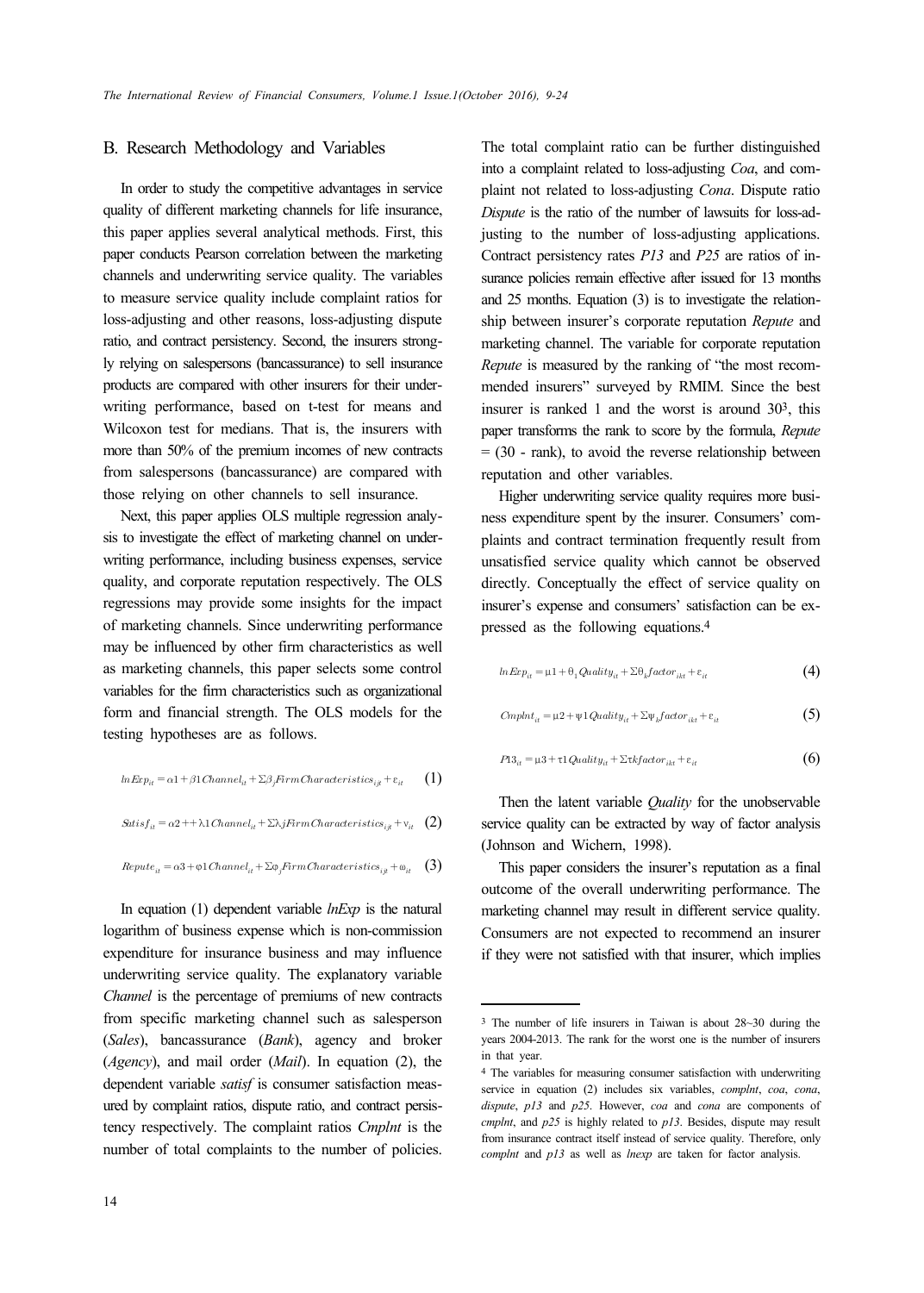#### B. Research Methodology and Variables

In order to study the competitive advantages in service quality of different marketing channels for life insurance, this paper applies several analytical methods. First, this paper conducts Pearson correlation between the marketing channels and underwriting service quality. The variables to measure service quality include complaint ratios for loss-adjusting and other reasons, loss-adjusting dispute ratio, and contract persistency. Second, the insurers strongly relying on salespersons (bancassurance) to sell insurance products are compared with other insurers for their underwriting performance, based on t-test for means and Wilcoxon test for medians. That is, the insurers with more than 50% of the premium incomes of new contracts from salespersons (bancassurance) are compared with those relying on other channels to sell insurance.

Next, this paper applies OLS multiple regression analysis to investigate the effect of marketing channel on underwriting performance, including business expenses, service quality, and corporate reputation respectively. The OLS regressions may provide some insights for the impact of marketing channels. Since underwriting performance may be influenced by other firm characteristics as well as marketing channels, this paper selects some control variables for the firm characteristics such as organizational form and financial strength. The OLS models for the testing hypotheses are as follows.

$$
lnExp_{it} = \alpha 1 + \beta 1Channel_{it} + \sum \beta_j FirmCharacteristics_{ijt} + \varepsilon_{it} \qquad (1)
$$

$$
Satisf_{it} = \alpha 2 + \lambda 1 \, Channel_{it} + \Sigma \lambda j \, Firm \, Characteristics_{it} + \mathbf{v}_{it} \quad (2)
$$

$$
Replace_{it} = \alpha 3 + \varphi 1 \,Channel_{it} + \sum \varphi_j \, Frame Characteristics_{ijt} + \varphi_{it} \quad (3)
$$

In equation (1) dependent variable *lnExp* is the natural logarithm of business expense which is non-commission expenditure for insurance business and may influence underwriting service quality. The explanatory variable *Channel* is the percentage of premiums of new contracts from specific marketing channel such as salesperson (*Sales*), bancassurance (*Bank*), agency and broker (*Agency*), and mail order (*Mail*). In equation (2), the dependent variable *satisf* is consumer satisfaction measured by complaint ratios, dispute ratio, and contract persistency respectively. The complaint ratios *Cmplnt* is the number of total complaints to the number of policies.

The total complaint ratio can be further distinguished into a complaint related to loss-adjusting *Coa*, and complaint not related to loss-adjusting *Cona*. Dispute ratio *Dispute* is the ratio of the number of lawsuits for loss-adjusting to the number of loss-adjusting applications. Contract persistency rates *P13* and *P25* are ratios of insurance policies remain effective after issued for 13 months and 25 months. Equation (3) is to investigate the relationship between insurer's corporate reputation *Repute* and marketing channel. The variable for corporate reputation *Repute* is measured by the ranking of "the most recommended insurers" surveyed by RMIM. Since the best insurer is ranked 1 and the worst is around 303, this paper transforms the rank to score by the formula, *Repute*  $= (30 - \text{rank})$ , to avoid the reverse relationship between reputation and other variables.

Higher underwriting service quality requires more business expenditure spent by the insurer. Consumers' complaints and contract termination frequently result from unsatisfied service quality which cannot be observed directly. Conceptually the effect of service quality on insurer's expense and consumers' satisfaction can be expressed as the following equations.4

$$
lnExp_{it} = \mu 1 + \theta_1 Quality_{it} + \Sigma \theta_k factor_{ikt} + \varepsilon_{it}
$$
\n(4)

$$
CmpInt_{it} = \mu_2 + \psi_1 \t{Quality}_{it} + \sum_{k} \t{factor}_{ikt} + \varepsilon_{it}
$$
\n
$$
(5)
$$

$$
P13_{it} = \mu 3 + \tau 1 \t{Quality}_{it} + \Sigma \t{tkfactor}_{ikt} + \varepsilon_{it}
$$
 (6)

Then the latent variable *Quality* for the unobservable service quality can be extracted by way of factor analysis (Johnson and Wichern, 1998).

This paper considers the insurer's reputation as a final outcome of the overall underwriting performance. The marketing channel may result in different service quality. Consumers are not expected to recommend an insurer if they were not satisfied with that insurer, which implies

<sup>3</sup> The number of life insurers in Taiwan is about 28~30 during the years 2004-2013. The rank for the worst one is the number of insurers in that year.

<sup>4</sup> The variables for measuring consumer satisfaction with underwriting service in equation (2) includes six variables, *complnt*, *coa*, *cona*, *dispute*, *p13* and *p25*. However, *coa* and *cona* are components of *cmplnt*, and *p25* is highly related to *p13*. Besides, dispute may result from insurance contract itself instead of service quality. Therefore, only *complnt* and *p13* as well as *lnexp* are taken for factor analysis.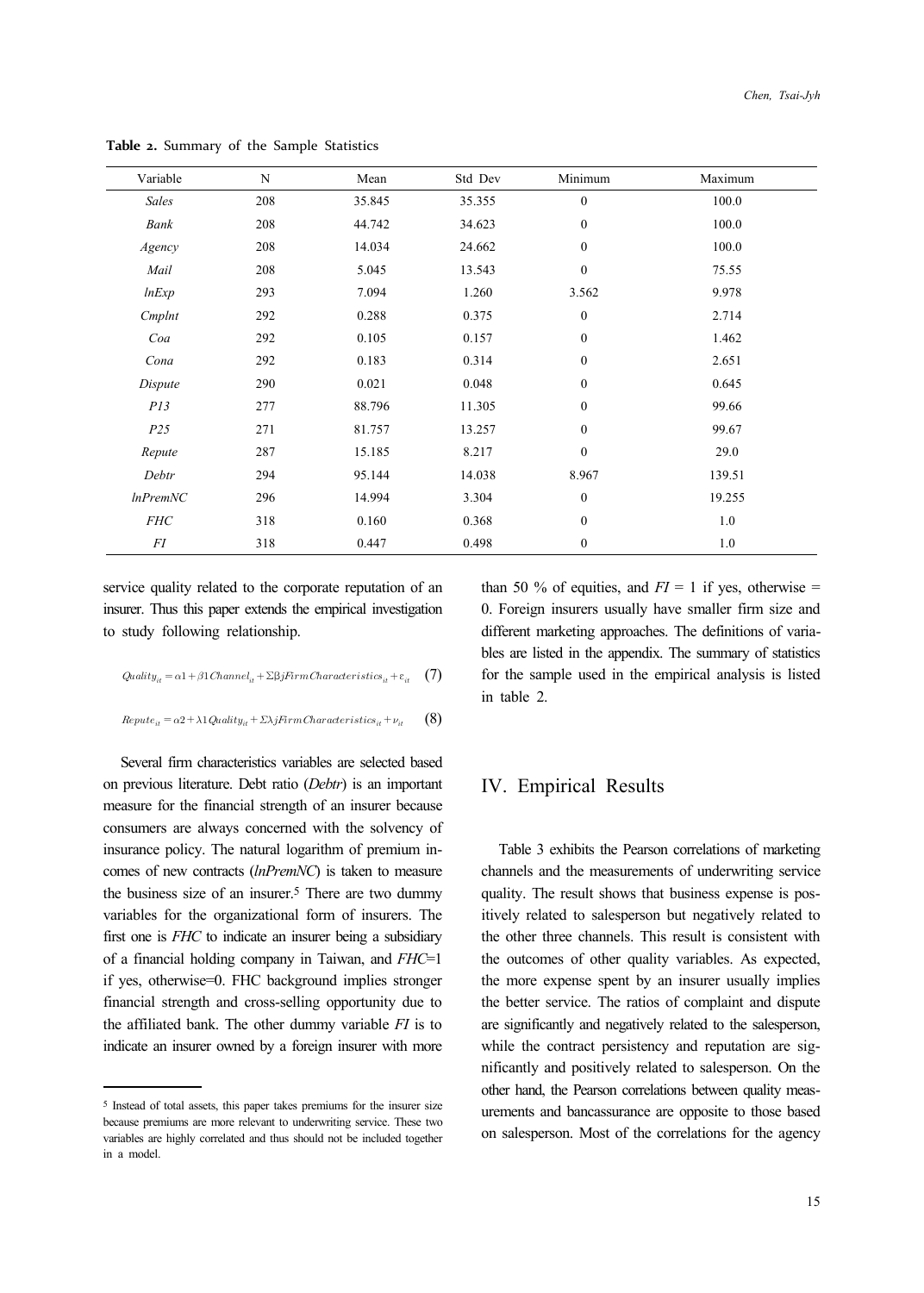| Variable       | N   | Mean   | Std Dev | Minimum          | Maximum |
|----------------|-----|--------|---------|------------------|---------|
| Sales          | 208 | 35.845 | 35.355  | $\boldsymbol{0}$ | 100.0   |
| Bank           | 208 | 44.742 | 34.623  | $\boldsymbol{0}$ | 100.0   |
| Agency         | 208 | 14.034 | 24.662  | $\boldsymbol{0}$ | 100.0   |
| Mail           | 208 | 5.045  | 13.543  | $\boldsymbol{0}$ | 75.55   |
| lnExp          | 293 | 7.094  | 1.260   | 3.562            | 9.978   |
| Cmplnt         | 292 | 0.288  | 0.375   | $\boldsymbol{0}$ | 2.714   |
| Coa            | 292 | 0.105  | 0.157   | $\boldsymbol{0}$ | 1.462   |
| Cona           | 292 | 0.183  | 0.314   | $\boldsymbol{0}$ | 2.651   |
| Dispute        | 290 | 0.021  | 0.048   | $\boldsymbol{0}$ | 0.645   |
| PI3            | 277 | 88.796 | 11.305  | $\boldsymbol{0}$ | 99.66   |
| P25            | 271 | 81.757 | 13.257  | $\mathbf{0}$     | 99.67   |
| Repute         | 287 | 15.185 | 8.217   | $\boldsymbol{0}$ | 29.0    |
| Debtr          | 294 | 95.144 | 14.038  | 8.967            | 139.51  |
| $ln$ Prem $NC$ | 296 | 14.994 | 3.304   | $\boldsymbol{0}$ | 19.255  |
| <b>FHC</b>     | 318 | 0.160  | 0.368   | $\boldsymbol{0}$ | 1.0     |
| FI             | 318 | 0.447  | 0.498   | $\boldsymbol{0}$ | 1.0     |

**Table 2.** Summary of the Sample Statistics

service quality related to the corporate reputation of an insurer. Thus this paper extends the empirical investigation to study following relationship.

$$
Quality_{it} = \alpha 1 + \beta 1Channel_{it} + \Sigma \beta jFirmCharacteristics_{it} + \varepsilon_{it} \tag{7}
$$

$$
Replace_{it} = \alpha 2 + \lambda 1 \t{Quality}_{it} + \t{Ex}_{if} \\ \t{Firm} \\ \t{Characteristics}_{it} + \nu_{it} \qquad \textbf{(8)}
$$

Several firm characteristics variables are selected based on previous literature. Debt ratio (*Debtr*) is an important measure for the financial strength of an insurer because consumers are always concerned with the solvency of insurance policy. The natural logarithm of premium incomes of new contracts (*lnPremNC*) is taken to measure the business size of an insurer.5 There are two dummy variables for the organizational form of insurers. The first one is *FHC* to indicate an insurer being a subsidiary of a financial holding company in Taiwan, and *FHC*=1 if yes, otherwise=0. FHC background implies stronger financial strength and cross-selling opportunity due to the affiliated bank. The other dummy variable *FI* is to indicate an insurer owned by a foreign insurer with more than 50 % of equities, and  $FI = 1$  if yes, otherwise = 0. Foreign insurers usually have smaller firm size and different marketing approaches. The definitions of variables are listed in the appendix. The summary of statistics for the sample used in the empirical analysis is listed in table 2.

## IV. Empirical Results

Table 3 exhibits the Pearson correlations of marketing channels and the measurements of underwriting service quality. The result shows that business expense is positively related to salesperson but negatively related to the other three channels. This result is consistent with the outcomes of other quality variables. As expected, the more expense spent by an insurer usually implies the better service. The ratios of complaint and dispute are significantly and negatively related to the salesperson, while the contract persistency and reputation are significantly and positively related to salesperson. On the other hand, the Pearson correlations between quality measurements and bancassurance are opposite to those based on salesperson. Most of the correlations for the agency

<sup>5</sup> Instead of total assets, this paper takes premiums for the insurer size because premiums are more relevant to underwriting service. These two variables are highly correlated and thus should not be included together in a model.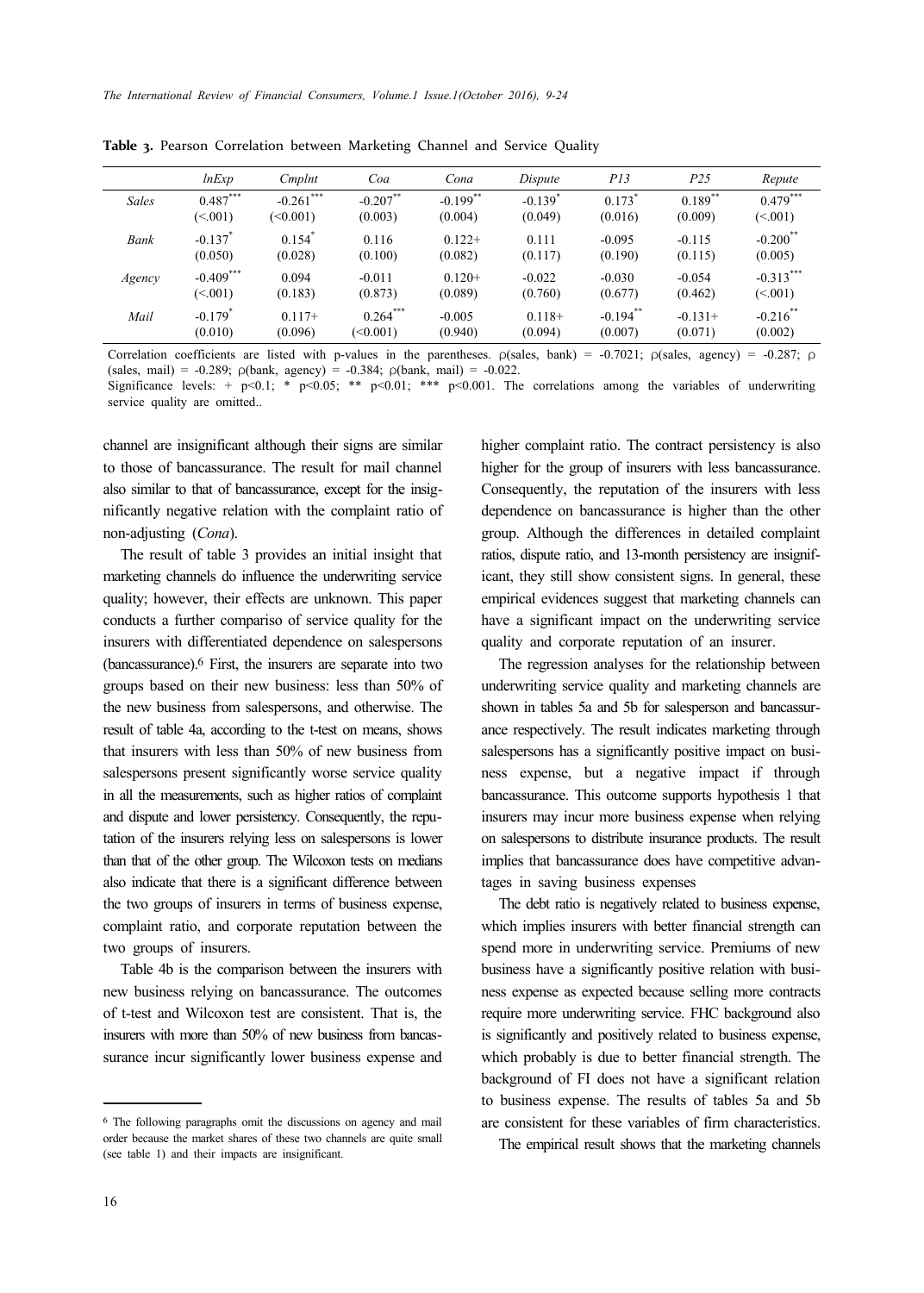|              | lnExp                 | Cmplnt               | Coa         | Cona                   | Dispute               | PI3                  | P <sub>25</sub>       | Repute                 |
|--------------|-----------------------|----------------------|-------------|------------------------|-----------------------|----------------------|-----------------------|------------------------|
| <b>Sales</b> | $0.487***$            | $-0.261$ ***         | $-0.207$ ** | $-0.199$ <sup>**</sup> | $-0.139$ <sup>*</sup> | $0.173$ <sup>*</sup> | $0.189$ <sup>**</sup> | $0.479***$             |
|              | (<.001)               | (0.001)              | (0.003)     | (0.004)                | (0.049)               | (0.016)              | (0.009)               | (< 001)                |
| Bank         | $-0.137$ <sup>*</sup> | $0.154$ <sup>*</sup> | 0.116       | $0.122+$               | 0.111                 | $-0.095$             | $-0.115$              | $-0.200$ <sup>**</sup> |
|              | (0.050)               | (0.028)              | (0.100)     | (0.082)                | (0.117)               | (0.190)              | (0.115)               | (0.005)                |
| Agency       | $-0.409$ ***          | 0.094                | $-0.011$    | $0.120+$               | $-0.022$              | $-0.030$             | $-0.054$              | $-0.313***$            |
|              | (<.001)               | (0.183)              | (0.873)     | (0.089)                | (0.760)               | (0.677)              | (0.462)               | (<.001)                |
| Mail         | $-0.179$ <sup>*</sup> | $0.117+$             | $0.264***$  | $-0.005$               | $0.118+$              | $-0.194$ **          | $-0.131+$             | $-0.216$ **            |
|              | (0.010)               | (0.096)              | (<0.001)    | (0.940)                | (0.094)               | (0.007)              | (0.071)               | (0.002)                |

**Table 3.** Pearson Correlation between Marketing Channel and Service Quality

Correlation coefficients are listed with p-values in the parentheses. ρ(sales, bank) = -0.7021; ρ(sales, agency) = -0.287; ρ (sales, mail) = -0.289;  $\rho$ (bank, agency) = -0.384;  $\rho$ (bank, mail) = -0.022.

Significance levels: + p<0.1; \* p<0.05; \*\* p<0.01; \*\*\* p<0.001. The correlations among the variables of underwriting service quality are omitted..

channel are insignificant although their signs are similar to those of bancassurance. The result for mail channel also similar to that of bancassurance, except for the insignificantly negative relation with the complaint ratio of non-adjusting (*Cona*).

The result of table 3 provides an initial insight that marketing channels do influence the underwriting service quality; however, their effects are unknown. This paper conducts a further compariso of service quality for the insurers with differentiated dependence on salespersons (bancassurance).6 First, the insurers are separate into two groups based on their new business: less than 50% of the new business from salespersons, and otherwise. The result of table 4a, according to the t-test on means, shows that insurers with less than 50% of new business from salespersons present significantly worse service quality in all the measurements, such as higher ratios of complaint and dispute and lower persistency. Consequently, the reputation of the insurers relying less on salespersons is lower than that of the other group. The Wilcoxon tests on medians also indicate that there is a significant difference between the two groups of insurers in terms of business expense, complaint ratio, and corporate reputation between the two groups of insurers.

Table 4b is the comparison between the insurers with new business relying on bancassurance. The outcomes of t-test and Wilcoxon test are consistent. That is, the insurers with more than 50% of new business from bancassurance incur significantly lower business expense and

higher complaint ratio. The contract persistency is also higher for the group of insurers with less bancassurance. Consequently, the reputation of the insurers with less dependence on bancassurance is higher than the other group. Although the differences in detailed complaint ratios, dispute ratio, and 13-month persistency are insignificant, they still show consistent signs. In general, these empirical evidences suggest that marketing channels can have a significant impact on the underwriting service quality and corporate reputation of an insurer.

The regression analyses for the relationship between underwriting service quality and marketing channels are shown in tables 5a and 5b for salesperson and bancassurance respectively. The result indicates marketing through salespersons has a significantly positive impact on business expense, but a negative impact if through bancassurance. This outcome supports hypothesis 1 that insurers may incur more business expense when relying on salespersons to distribute insurance products. The result implies that bancassurance does have competitive advantages in saving business expenses

The debt ratio is negatively related to business expense, which implies insurers with better financial strength can spend more in underwriting service. Premiums of new business have a significantly positive relation with business expense as expected because selling more contracts require more underwriting service. FHC background also is significantly and positively related to business expense, which probably is due to better financial strength. The background of FI does not have a significant relation to business expense. The results of tables 5a and 5b are consistent for these variables of firm characteristics.

The empirical result shows that the marketing channels

<sup>6</sup> The following paragraphs omit the discussions on agency and mail order because the market shares of these two channels are quite small (see table 1) and their impacts are insignificant.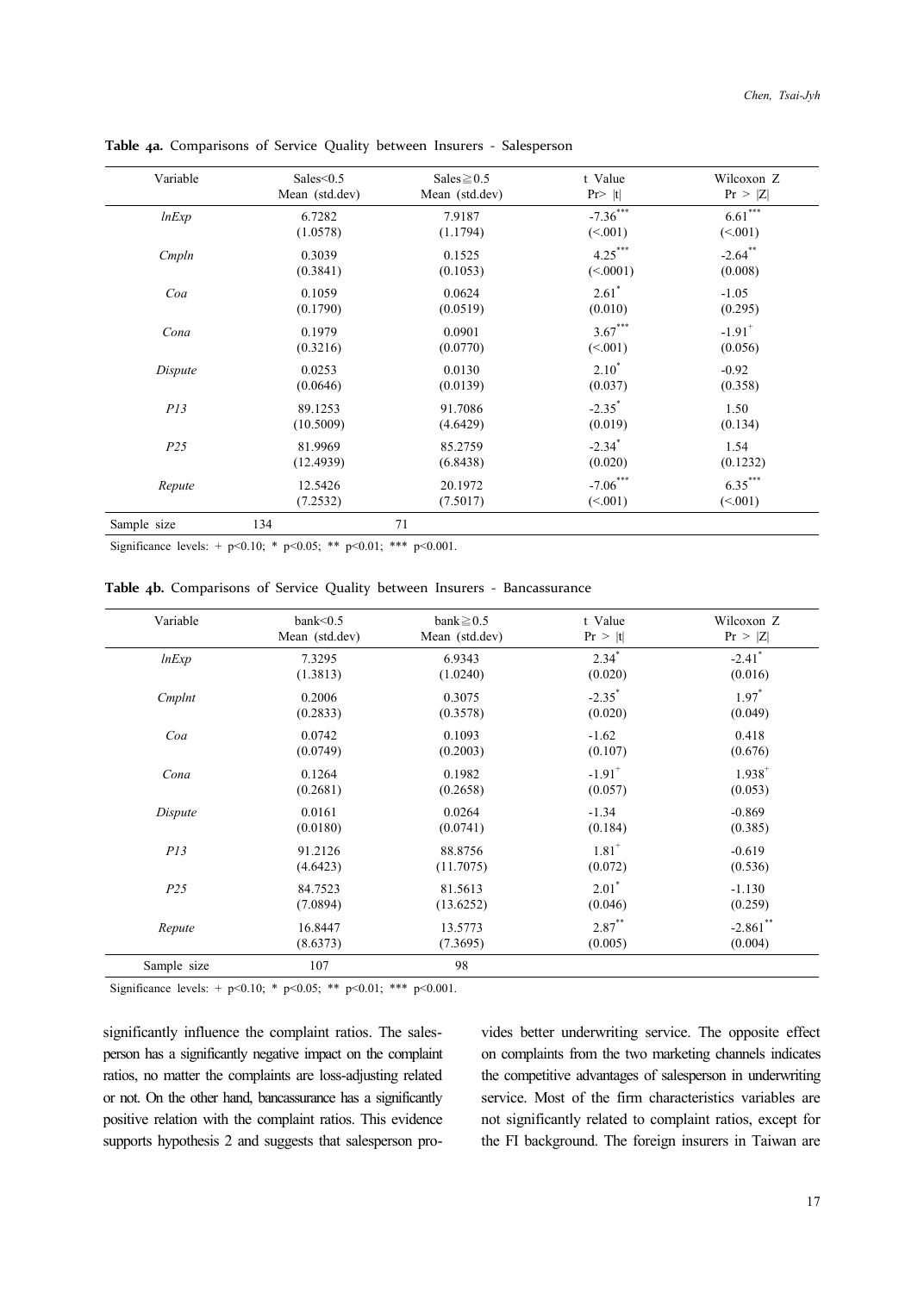| Variable        | Sales $\leq 0.5$ | Sales $\geq 0.5$ | t Value              | Wilcoxon Z           |
|-----------------|------------------|------------------|----------------------|----------------------|
|                 | Mean (std.dev)   | Mean (std.dev)   | $Pr$  t              | Pr >  Z              |
| lnExp           | 6.7282           | 7.9187           | $-7.36***$           | $6.61***$            |
|                 | (1.0578)         | (1.1794)         | (<.001)              | (<.001)              |
| Cmpln           | 0.3039           | 0.1525           | $4.25***$            | $-2.64$ **           |
|                 | (0.3841)         | (0.1053)         | (<.0001)             | (0.008)              |
| Coa             | 0.1059           | 0.0624           | $2.61^*$             | $-1.05$              |
|                 | (0.1790)         | (0.0519)         | (0.010)              | (0.295)              |
| Cona            | 0.1979           | 0.0901           | $3.67***$            | $-1.91$ <sup>+</sup> |
|                 | (0.3216)         | (0.0770)         | (<.001)              | (0.056)              |
| Dispute         | 0.0253           | 0.0130           | $2.10^*$             | $-0.92$              |
|                 | (0.0646)         | (0.0139)         | (0.037)              | (0.358)              |
| P13             | 89.1253          | 91.7086          | $-2.35$ <sup>*</sup> | 1.50                 |
|                 | (10.5009)        | (4.6429)         | (0.019)              | (0.134)              |
| P <sub>25</sub> | 81.9969          | 85.2759          | $-2.34$ <sup>*</sup> | 1.54                 |
|                 | (12.4939)        | (6.8438)         | (0.020)              | (0.1232)             |
| Repute          | 12.5426          | 20.1972          | $-7.06***$           | $6.35***$            |
|                 | (7.2532)         | (7.5017)         | (<.001)              | (<.001)              |
| Sample size     | 134              | 71               |                      |                      |

**Table 4a.** Comparisons of Service Quality between Insurers ‐ Salesperson

Significance levels: + p<0.10; \* p<0.05; \*\* p<0.01; \*\*\* p<0.001.

| Variable        | bank $\leq 0.5$ | bank $\geq 0.5$ | t Value              | Wilcoxon Z           |
|-----------------|-----------------|-----------------|----------------------|----------------------|
|                 | Mean (std.dev)  | Mean (std.dev)  | Pr >  t              | Pr >  Z              |
| lnExp           | 7.3295          | 6.9343          | $2.34^{*}$           | $-2.41$ <sup>*</sup> |
|                 | (1.3813)        | (1.0240)        | (0.020)              | (0.016)              |
| Cmplnt          | 0.2006          | 0.3075          | $-2.35^*$            | $1.97^*$             |
|                 | (0.2833)        | (0.3578)        | (0.020)              | (0.049)              |
| Coa             | 0.0742          | 0.1093          | $-1.62$              | 0.418                |
|                 | (0.0749)        | (0.2003)        | (0.107)              | (0.676)              |
| Cona            | 0.1264          | 0.1982          | $-1.91$ <sup>+</sup> | $1.938^{+}$          |
|                 | (0.2681)        | (0.2658)        | (0.057)              | (0.053)              |
| Dispute         | 0.0161          | 0.0264          | $-1.34$              | $-0.869$             |
|                 | (0.0180)        | (0.0741)        | (0.184)              | (0.385)              |
| PI3             | 91.2126         | 88.8756         | $1.81$ <sup>+</sup>  | $-0.619$             |
|                 | (4.6423)        | (11.7075)       | (0.072)              | (0.536)              |
| P <sub>25</sub> | 84.7523         | 81.5613         | $2.01^*$             | $-1.130$             |
|                 | (7.0894)        | (13.6252)       | (0.046)              | (0.259)              |
| Repute          | 16.8447         | 13.5773         | $2.87$ **            | $-2.861$ **          |
|                 | (8.6373)        | (7.3695)        | (0.005)              | (0.004)              |
| Sample size     | 107             | 98              |                      |                      |

**Table 4b.** Comparisons of Service Quality between Insurers ‐ Bancassurance

Significance levels: + p<0.10; \* p<0.05; \*\* p<0.01; \*\*\* p<0.001.

significantly influence the complaint ratios. The salesperson has a significantly negative impact on the complaint ratios, no matter the complaints are loss-adjusting related or not. On the other hand, bancassurance has a significantly positive relation with the complaint ratios. This evidence supports hypothesis 2 and suggests that salesperson provides better underwriting service. The opposite effect on complaints from the two marketing channels indicates the competitive advantages of salesperson in underwriting service. Most of the firm characteristics variables are not significantly related to complaint ratios, except for the FI background. The foreign insurers in Taiwan are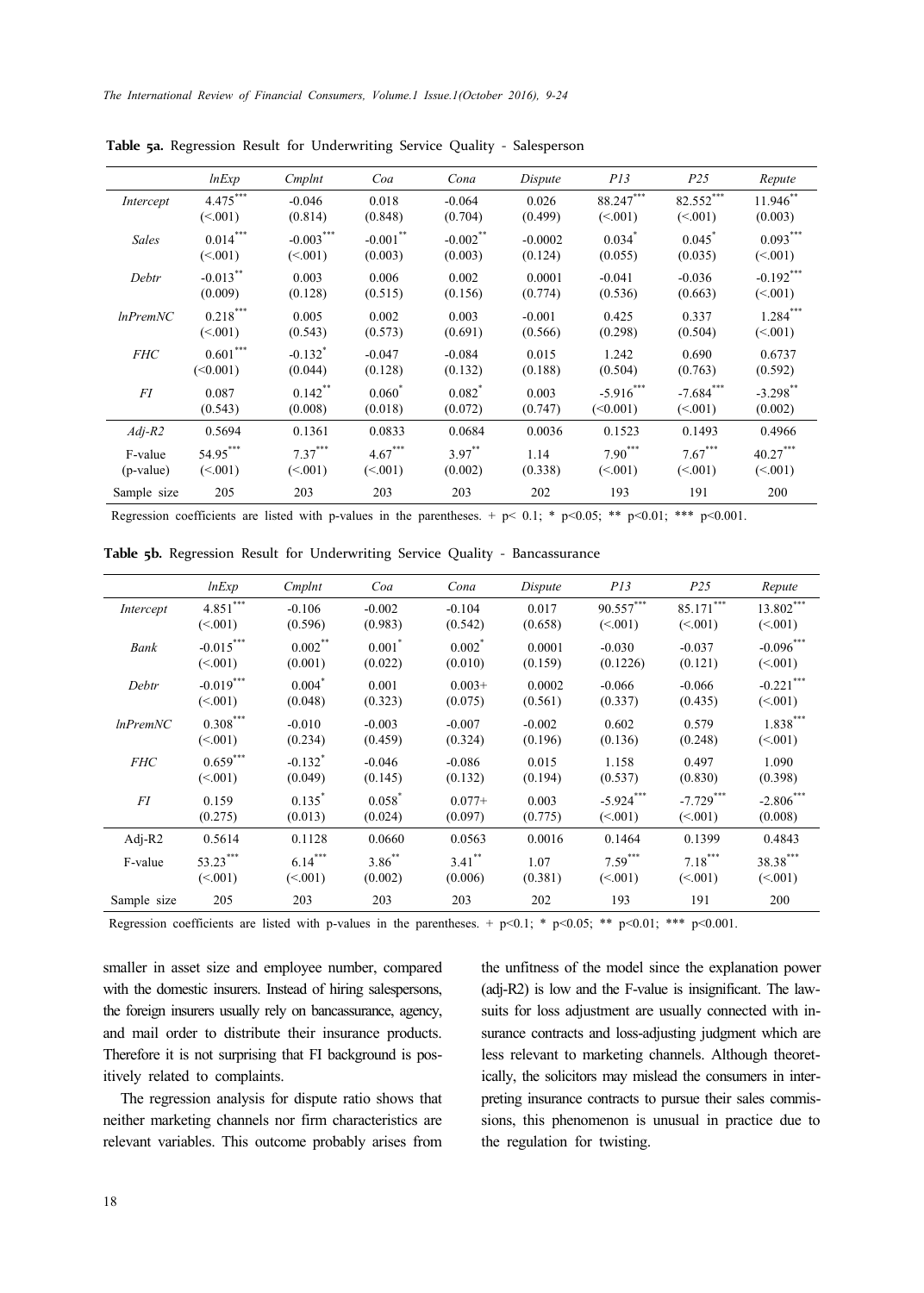|                | lnExp       | Cmplnt                | Coa         | Cona                 | Dispute   | P13                  | P <sub>25</sub>      | Repute       |
|----------------|-------------|-----------------------|-------------|----------------------|-----------|----------------------|----------------------|--------------|
| Intercept      | $4.475***$  | $-0.046$              | 0.018       | $-0.064$             | 0.026     | $88.247***$          | $82.552***$          | $11.946$ **  |
|                | (<.001)     | (0.814)               | (0.848)     | (0.704)              | (0.499)   | (< 001)              | (<.001)              | (0.003)      |
| Sales          | $0.014***$  | $-0.003***$           | $-0.001$ ** | $-0.002$ **          | $-0.0002$ | $0.034$ <sup>*</sup> | $0.045$ <sup>*</sup> | $0.093***$   |
|                | (<.001)     | (<.001)               | (0.003)     | (0.003)              | (0.124)   | (0.055)              | (0.035)              | (< 001)      |
| Debtr          | $-0.013$ ** | 0.003                 | 0.006       | 0.002                | 0.0001    | $-0.041$             | $-0.036$             | $-0.192$ *** |
|                | (0.009)     | (0.128)               | (0.515)     | (0.156)              | (0.774)   | (0.536)              | (0.663)              | (< 001)      |
| $ln$ Prem $NC$ | $0.218***$  | 0.005                 | 0.002       | 0.003                | $-0.001$  | 0.425                | 0.337                | $1.284***$   |
|                | (<.001)     | (0.543)               | (0.573)     | (0.691)              | (0.566)   | (0.298)              | (0.504)              | (<.001)      |
| <b>FHC</b>     | $0.601***$  | $-0.132$ <sup>*</sup> | $-0.047$    | $-0.084$             | 0.015     | 1.242                | 0.690                | 0.6737       |
|                | (<0.001)    | (0.044)               | (0.128)     | (0.132)              | (0.188)   | (0.504)              | (0.763)              | (0.592)      |
| FI             | 0.087       | $0.142$ **            | $0.060*$    | $0.082$ <sup>*</sup> | 0.003     | $-5.916***$          | $-7.684***$          | $-3.298$ **  |
|                | (0.543)     | (0.008)               | (0.018)     | (0.072)              | (0.747)   | (<0.001)             | (<.001)              | (0.002)      |
| $Adj-R2$       | 0.5694      | 0.1361                | 0.0833      | 0.0684               | 0.0036    | 0.1523               | 0.1493               | 0.4966       |
| F-value        | 54.95***    | $7.37***$             | $4.67***$   | $3.97***$            | 1.14      | $7.90***$            | $7.67***$            | $40.27***$   |
| (p-value)      | (<.001)     | (<.001)               | (<.001)     | (0.002)              | (0.338)   | (< 001)              | (<.001)              | (<.001)      |
| Sample size    | 205         | 203                   | 203         | 203                  | 202       | 193                  | 191                  | 200          |

**Table 5a.** Regression Result for Underwriting Service Quality ‐ Salesperson

Regression coefficients are listed with p-values in the parentheses. + p< 0.1; \* p<0.05; \*\* p<0.01; \*\*\* p<0.001.

Table 5b. Regression Result for Underwriting Service Quality - Bancassurance

|                | lnExp       | Cmplnt                | Coa                  | Cona      | Dispute  | PI3         | P <sub>25</sub> | Repute       |
|----------------|-------------|-----------------------|----------------------|-----------|----------|-------------|-----------------|--------------|
| Intercept      | $4.851***$  | $-0.106$              | $-0.002$             | $-0.104$  | 0.017    | $90.557***$ | $85.171***$     | $13.802***$  |
|                | (<.001)     | (0.596)               | (0.983)              | (0.542)   | (0.658)  | (< 001)     | (<.001)         | (<.001)      |
| Bank           | $-0.015***$ | $0.002$ **            | $0.001$ <sup>*</sup> | $0.002^*$ | 0.0001   | $-0.030$    | $-0.037$        | $-0.096***$  |
|                | (< 001)     | (0.001)               | (0.022)              | (0.010)   | (0.159)  | (0.1226)    | (0.121)         | (< 001)      |
| Debtr          | $-0.019***$ | $0.004*$              | 0.001                | $0.003+$  | 0.0002   | $-0.066$    | $-0.066$        | $-0.221***$  |
|                | (< 001)     | (0.048)               | (0.323)              | (0.075)   | (0.561)  | (0.337)     | (0.435)         | (< 001)      |
| $ln$ Prem $NC$ | $0.308***$  | $-0.010$              | $-0.003$             | $-0.007$  | $-0.002$ | 0.602       | 0.579           | $1.838***$   |
|                | (< 001)     | (0.234)               | (0.459)              | (0.324)   | (0.196)  | (0.136)     | (0.248)         | (<.001)      |
| <b>FHC</b>     | $0.659***$  | $-0.132$ <sup>*</sup> | $-0.046$             | $-0.086$  | 0.015    | 1.158       | 0.497           | 1.090        |
|                | (<.001)     | (0.049)               | (0.145)              | (0.132)   | (0.194)  | (0.537)     | (0.830)         | (0.398)      |
| FI             | 0.159       | $0.135^{*}$           | $0.058^*$            | $0.077+$  | 0.003    | $-5.924***$ | $-7.729$ ***    | $-2.806$ *** |
|                | (0.275)     | (0.013)               | (0.024)              | (0.097)   | (0.775)  | (< 001)     | (< 001)         | (0.008)      |
| Adj- $R2$      | 0.5614      | 0.1128                | 0.0660               | 0.0563    | 0.0016   | 0.1464      | 0.1399          | 0.4843       |
| F-value        | 53.23***    | $6.14***$             | $3.86^{**}$          | $3.41$ ** | 1.07     | $7.59***$   | $7.18***$       | 38.38***     |
|                | (< 001)     | (< 001)               | (0.002)              | (0.006)   | (0.381)  | (< 001)     | (< 001)         | (<.001)      |
| Sample size    | 205         | 203                   | 203                  | 203       | 202      | 193         | 191             | 200          |

Regression coefficients are listed with p-values in the parentheses. + p<0.1; \* p<0.05; \*\* p<0.01; \*\*\* p<0.001.

smaller in asset size and employee number, compared with the domestic insurers. Instead of hiring salespersons, the foreign insurers usually rely on bancassurance, agency, and mail order to distribute their insurance products. Therefore it is not surprising that FI background is positively related to complaints.

The regression analysis for dispute ratio shows that neither marketing channels nor firm characteristics are relevant variables. This outcome probably arises from the unfitness of the model since the explanation power (adj-R2) is low and the F-value is insignificant. The lawsuits for loss adjustment are usually connected with insurance contracts and loss-adjusting judgment which are less relevant to marketing channels. Although theoretically, the solicitors may mislead the consumers in interpreting insurance contracts to pursue their sales commissions, this phenomenon is unusual in practice due to the regulation for twisting.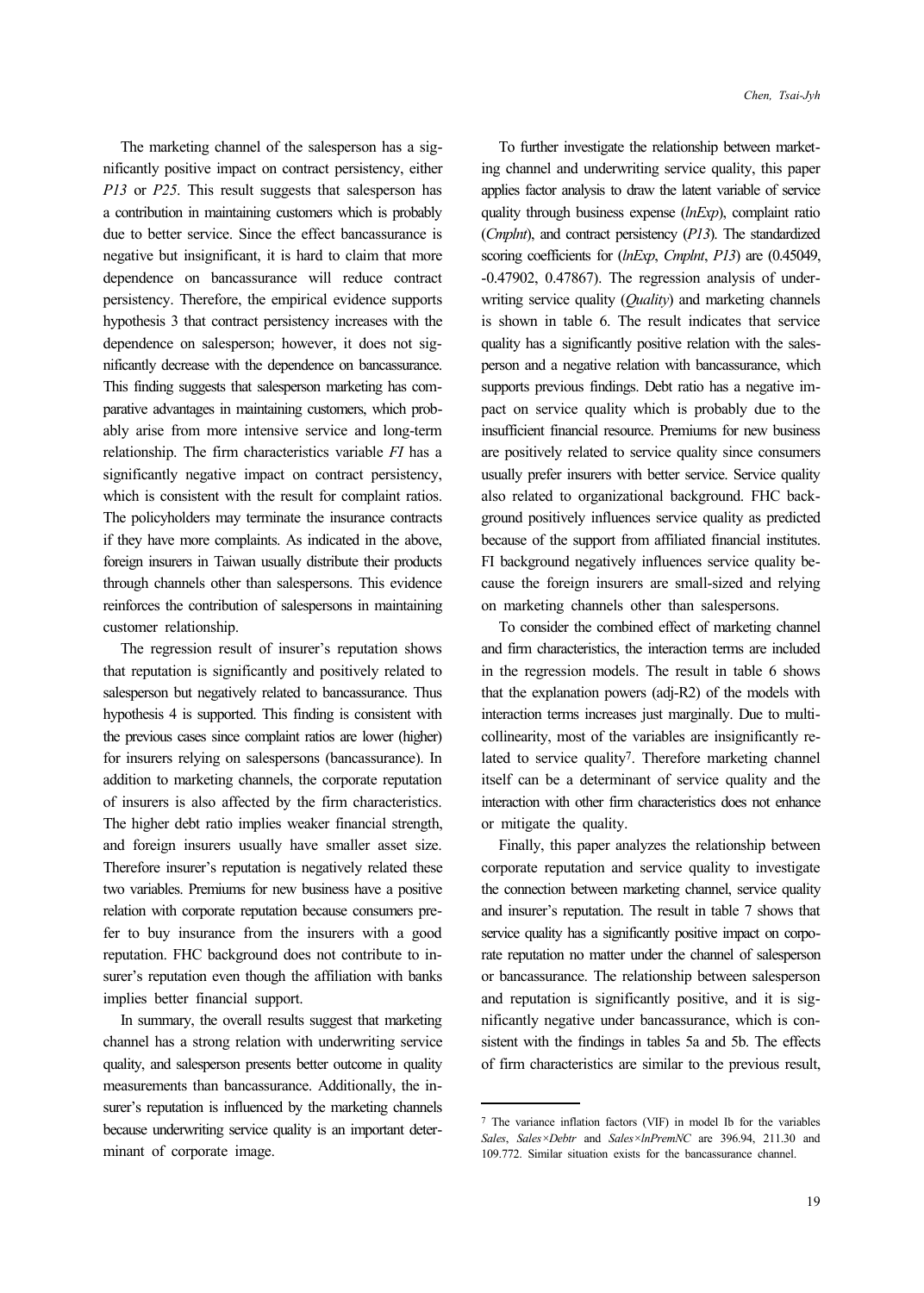The marketing channel of the salesperson has a significantly positive impact on contract persistency, either *P13* or *P25*. This result suggests that salesperson has a contribution in maintaining customers which is probably due to better service. Since the effect bancassurance is negative but insignificant, it is hard to claim that more dependence on bancassurance will reduce contract persistency. Therefore, the empirical evidence supports hypothesis 3 that contract persistency increases with the dependence on salesperson; however, it does not significantly decrease with the dependence on bancassurance. This finding suggests that salesperson marketing has comparative advantages in maintaining customers, which probably arise from more intensive service and long-term relationship. The firm characteristics variable *FI* has a significantly negative impact on contract persistency, which is consistent with the result for complaint ratios. The policyholders may terminate the insurance contracts if they have more complaints. As indicated in the above, foreign insurers in Taiwan usually distribute their products through channels other than salespersons. This evidence reinforces the contribution of salespersons in maintaining customer relationship.

The regression result of insurer's reputation shows that reputation is significantly and positively related to salesperson but negatively related to bancassurance. Thus hypothesis 4 is supported. This finding is consistent with the previous cases since complaint ratios are lower (higher) for insurers relying on salespersons (bancassurance). In addition to marketing channels, the corporate reputation of insurers is also affected by the firm characteristics. The higher debt ratio implies weaker financial strength, and foreign insurers usually have smaller asset size. Therefore insurer's reputation is negatively related these two variables. Premiums for new business have a positive relation with corporate reputation because consumers prefer to buy insurance from the insurers with a good reputation. FHC background does not contribute to insurer's reputation even though the affiliation with banks implies better financial support.

In summary, the overall results suggest that marketing channel has a strong relation with underwriting service quality, and salesperson presents better outcome in quality measurements than bancassurance. Additionally, the insurer's reputation is influenced by the marketing channels because underwriting service quality is an important determinant of corporate image.

To further investigate the relationship between marketing channel and underwriting service quality, this paper applies factor analysis to draw the latent variable of service quality through business expense (*lnExp*), complaint ratio (*Cmplnt*), and contract persistency (*P13*). The standardized scoring coefficients for (*lnExp*, *Cmplnt*, *P13*) are (0.45049, -0.47902, 0.47867). The regression analysis of underwriting service quality (*Quality*) and marketing channels is shown in table 6. The result indicates that service quality has a significantly positive relation with the salesperson and a negative relation with bancassurance, which supports previous findings. Debt ratio has a negative impact on service quality which is probably due to the insufficient financial resource. Premiums for new business are positively related to service quality since consumers usually prefer insurers with better service. Service quality also related to organizational background. FHC background positively influences service quality as predicted because of the support from affiliated financial institutes. FI background negatively influences service quality because the foreign insurers are small-sized and relying on marketing channels other than salespersons.

To consider the combined effect of marketing channel and firm characteristics, the interaction terms are included in the regression models. The result in table 6 shows that the explanation powers (adj-R2) of the models with interaction terms increases just marginally. Due to multicollinearity, most of the variables are insignificantly related to service quality7. Therefore marketing channel itself can be a determinant of service quality and the interaction with other firm characteristics does not enhance or mitigate the quality.

Finally, this paper analyzes the relationship between corporate reputation and service quality to investigate the connection between marketing channel, service quality and insurer's reputation. The result in table 7 shows that service quality has a significantly positive impact on corporate reputation no matter under the channel of salesperson or bancassurance. The relationship between salesperson and reputation is significantly positive, and it is significantly negative under bancassurance, which is consistent with the findings in tables 5a and 5b. The effects of firm characteristics are similar to the previous result,

<sup>7</sup> The variance inflation factors (VIF) in model Ib for the variables *Sales*, *Sales×Debtr* and *Sales×lnPremNC* are 396.94, 211.30 and 109.772. Similar situation exists for the bancassurance channel.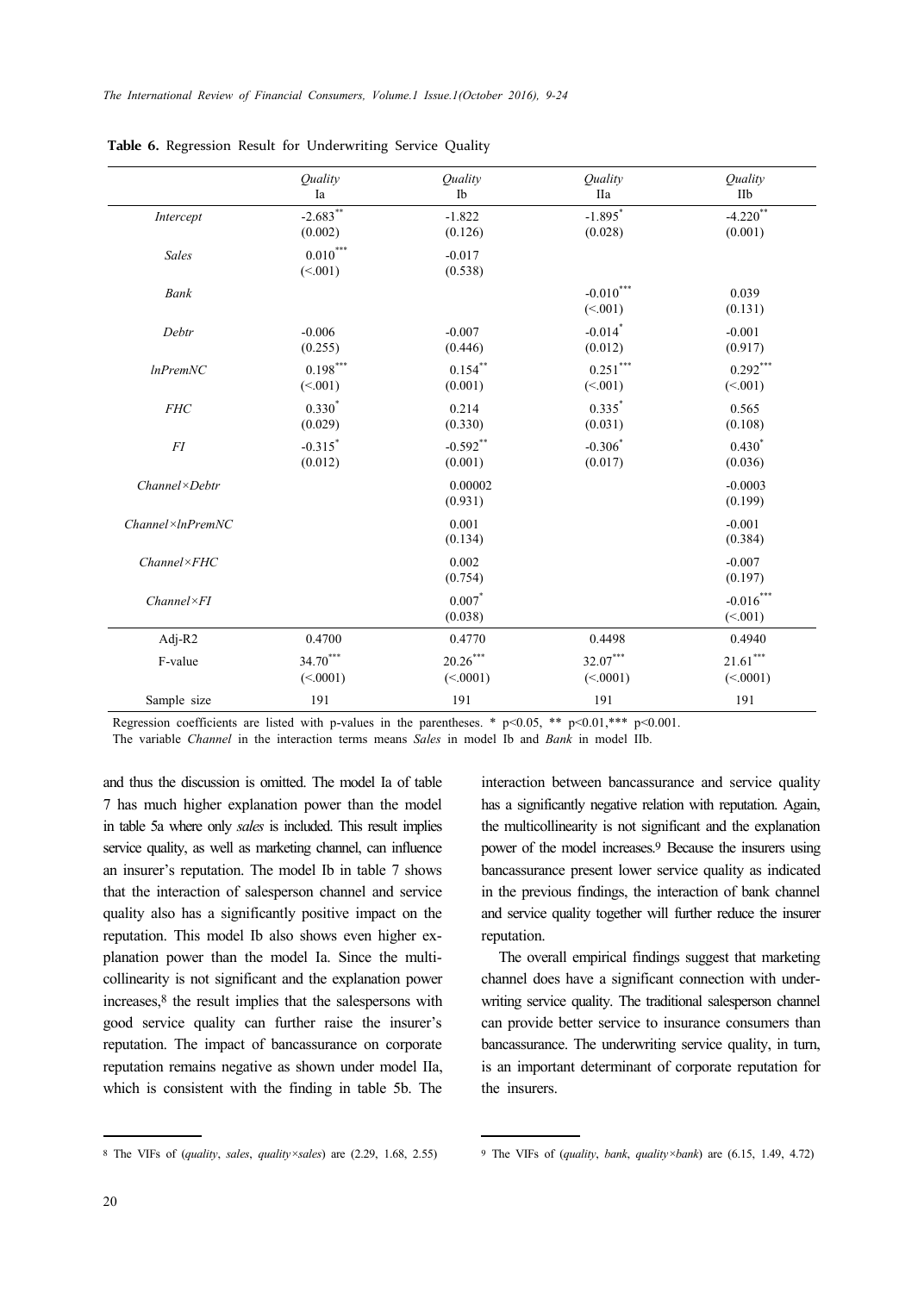*The International Review of Financial Consumers, Volume.1 Issue.1(October 2016), 9-24*

|                            | <i><u>Ouality</u></i><br>Ia       | Ouality<br>Ib          | Ouality<br><b>IIa</b>              | Ouality<br>IIb                         |
|----------------------------|-----------------------------------|------------------------|------------------------------------|----------------------------------------|
| Intercept                  | $-2.683***$<br>(0.002)            | $-1.822$<br>(0.126)    | $-1.895$ <sup>*</sup><br>(0.028)   | $-4.220$ **<br>(0.001)                 |
| Sales                      | $0.010^\mathrm{***}$<br>(<.001)   | $-0.017$<br>(0.538)    |                                    |                                        |
| <b>Bank</b>                |                                   |                        | $\textbf{-0.010}^{***}$<br>(<.001) | 0.039<br>(0.131)                       |
| Debtr                      | $-0.006$<br>(0.255)               | $-0.007$<br>(0.446)    | $-0.014$ *<br>(0.012)              | $-0.001$<br>(0.917)                    |
| $ln$ Prem $NC$             | $0.198^{\ast\ast\ast}$<br>(<.001) | $0.154$ **<br>(0.001)  | $0.251^{\ast\ast\ast}$<br>(<.001)  | $0.292\sp{^\ast\sp{^\ast}}$<br>(<.001) |
| FHC                        | $0.330^{*}$<br>(0.029)            | 0.214<br>(0.330)       | $0.335^{*}$<br>(0.031)             | 0.565<br>(0.108)                       |
| FI                         | $-0.315$ <sup>*</sup><br>(0.012)  | $-0.592$ **<br>(0.001) | $-0.306$<br>(0.017)                | $0.430^{*}$<br>(0.036)                 |
| $Channel \times Debtr$     |                                   | 0.00002<br>(0.931)     |                                    | $-0.0003$<br>(0.199)                   |
| $Channel \times In PremNC$ |                                   | 0.001<br>(0.134)       |                                    | $-0.001$<br>(0.384)                    |
| $Channel \times FHC$       |                                   | 0.002<br>(0.754)       |                                    | $-0.007$<br>(0.197)                    |
| $Channel \times FI$        |                                   | $0.007$ *<br>(0.038)   |                                    | $-0.016$ ***<br>(<.001)                |
| Adj-R2                     | 0.4700                            | 0.4770                 | 0.4498                             | 0.4940                                 |
| F-value                    | $34.70***$<br>(<.0001)            | $20.26***$<br>(<.0001) | $32.07***$<br>(<.0001)             | $21.61^{\ast\ast\ast}$<br>(<.0001)     |
| Sample size                | 191                               | 191                    | 191                                | 191                                    |

**Table 6.** Regression Result for Underwriting Service Quality

Regression coefficients are listed with p-values in the parentheses. \*  $p<0.05$ , \*\*  $p<0.01$ , \*\*\*  $p<0.001$ .

The variable *Channel* in the interaction terms means *Sales* in model Ib and *Bank* in model IIb.

and thus the discussion is omitted. The model Ia of table 7 has much higher explanation power than the model in table 5a where only *sales* is included. This result implies service quality, as well as marketing channel, can influence an insurer's reputation. The model Ib in table 7 shows that the interaction of salesperson channel and service quality also has a significantly positive impact on the reputation. This model Ib also shows even higher explanation power than the model Ia. Since the multicollinearity is not significant and the explanation power increases,8 the result implies that the salespersons with good service quality can further raise the insurer's reputation. The impact of bancassurance on corporate reputation remains negative as shown under model IIa, which is consistent with the finding in table 5b. The

interaction between bancassurance and service quality has a significantly negative relation with reputation. Again, the multicollinearity is not significant and the explanation power of the model increases.9 Because the insurers using bancassurance present lower service quality as indicated in the previous findings, the interaction of bank channel and service quality together will further reduce the insurer reputation.

The overall empirical findings suggest that marketing channel does have a significant connection with underwriting service quality. The traditional salesperson channel can provide better service to insurance consumers than bancassurance. The underwriting service quality, in turn, is an important determinant of corporate reputation for the insurers.

<sup>8</sup> The VIFs of (*quality*, *sales*, *quality×sales*) are (2.29, 1.68, 2.55)

<sup>9</sup> The VIFs of (*quality*, *bank*, *quality×bank*) are (6.15, 1.49, 4.72)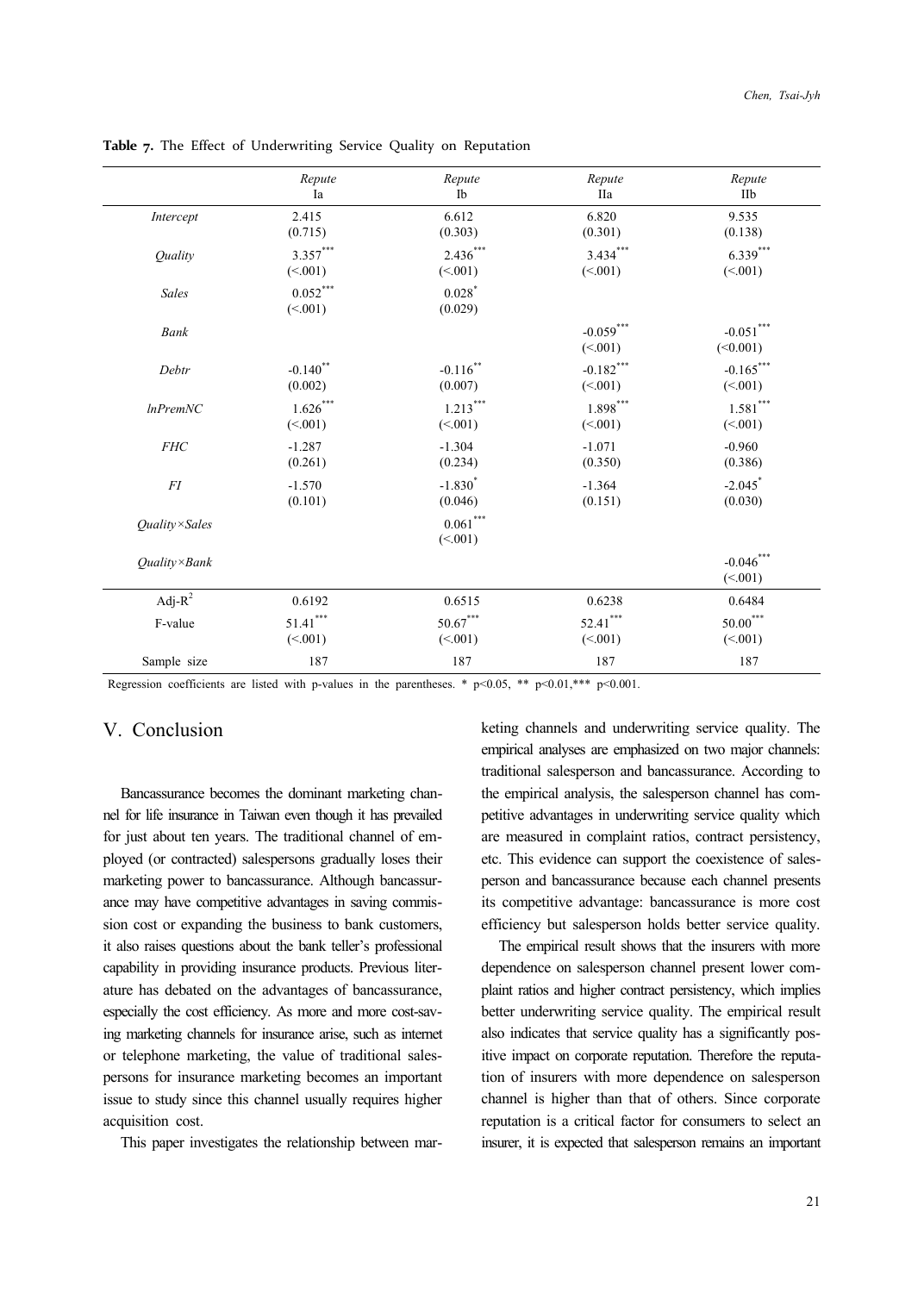|                               | Repute                 | Repute                     | Repute                 | Repute                              |
|-------------------------------|------------------------|----------------------------|------------------------|-------------------------------------|
|                               | Ia                     | Ib                         | IIa                    | IIb                                 |
| Intercept                     | 2.415                  | 6.612                      | 6.820                  | 9.535                               |
|                               | (0.715)                | (0.303)                    | (0.301)                | (0.138)                             |
| <i><u><b>Ouality</b></u></i>  | $3.357***$             | $2.436***$                 | $3.434***$             | $6.339***$                          |
|                               | (<.001)                | (< 001)                    | (<.001)                | (<.001)                             |
| <b>Sales</b>                  | $0.052***$<br>(<.001)  | 0.028<br>(0.029)           |                        |                                     |
| Bank                          |                        |                            | $-0.059***$<br>(<.001) | $\textbf{-0.051}^{***}$<br>(<0.001) |
| Debtr                         | $-0.140$ <sup>**</sup> | $-0.116$ **                | $-0.182***$            | $-0.165***$                         |
|                               | (0.002)                | (0.007)                    | (<.001)                | (<.001)                             |
| $ln$ Prem $NC$                | $1.626***$             | $1.213***$                 | $1.898***$             | $1.581^{\ast\ast\ast}$              |
|                               | (<.001)                | (<.001)                    | (<.001)                | (<.001)                             |
| <b>FHC</b>                    | $-1.287$               | $-1.304$                   | $-1.071$               | $-0.960$                            |
|                               | (0.261)                | (0.234)                    | (0.350)                | (0.386)                             |
| FI                            | $-1.570$               | $-1.830^{*}$               | $-1.364$               | $-2.045$ <sup>*</sup>               |
|                               | (0.101)                | (0.046)                    | (0.151)                | (0.030)                             |
| <i><b>Ouality</b></i> × Sales |                        | $0.061\sp{***}$<br>(< 001) |                        |                                     |
| $Ouality \times Bank$         |                        |                            |                        | $-0.046^{***}\,$<br>(<.001)         |
| Adj- $R^2$                    | 0.6192                 | 0.6515                     | 0.6238                 | 0.6484                              |
| F-value                       | $51.41^{\ast\ast\ast}$ | $50.67***$                 | $52.41***$             | $50.00^{\ast\ast\ast}$              |
|                               | (<.001)                | (<.001)                    | (<.001)                | (<.001)                             |
| Sample size                   | 187                    | 187                        | 187                    | 187                                 |

**Table 7.** The Effect of Underwriting Service Quality on Reputation

Regression coefficients are listed with p-values in the parentheses. \* p<0.05, \*\* p<0.01,\*\*\* p<0.001.

## V. Conclusion

Bancassurance becomes the dominant marketing channel for life insurance in Taiwan even though it has prevailed for just about ten years. The traditional channel of employed (or contracted) salespersons gradually loses their marketing power to bancassurance. Although bancassurance may have competitive advantages in saving commission cost or expanding the business to bank customers, it also raises questions about the bank teller's professional capability in providing insurance products. Previous literature has debated on the advantages of bancassurance, especially the cost efficiency. As more and more cost-saving marketing channels for insurance arise, such as internet or telephone marketing, the value of traditional salespersons for insurance marketing becomes an important issue to study since this channel usually requires higher acquisition cost.

This paper investigates the relationship between mar-

keting channels and underwriting service quality. The empirical analyses are emphasized on two major channels: traditional salesperson and bancassurance. According to the empirical analysis, the salesperson channel has competitive advantages in underwriting service quality which are measured in complaint ratios, contract persistency, etc. This evidence can support the coexistence of salesperson and bancassurance because each channel presents its competitive advantage: bancassurance is more cost efficiency but salesperson holds better service quality.

The empirical result shows that the insurers with more dependence on salesperson channel present lower complaint ratios and higher contract persistency, which implies better underwriting service quality. The empirical result also indicates that service quality has a significantly positive impact on corporate reputation. Therefore the reputation of insurers with more dependence on salesperson channel is higher than that of others. Since corporate reputation is a critical factor for consumers to select an insurer, it is expected that salesperson remains an important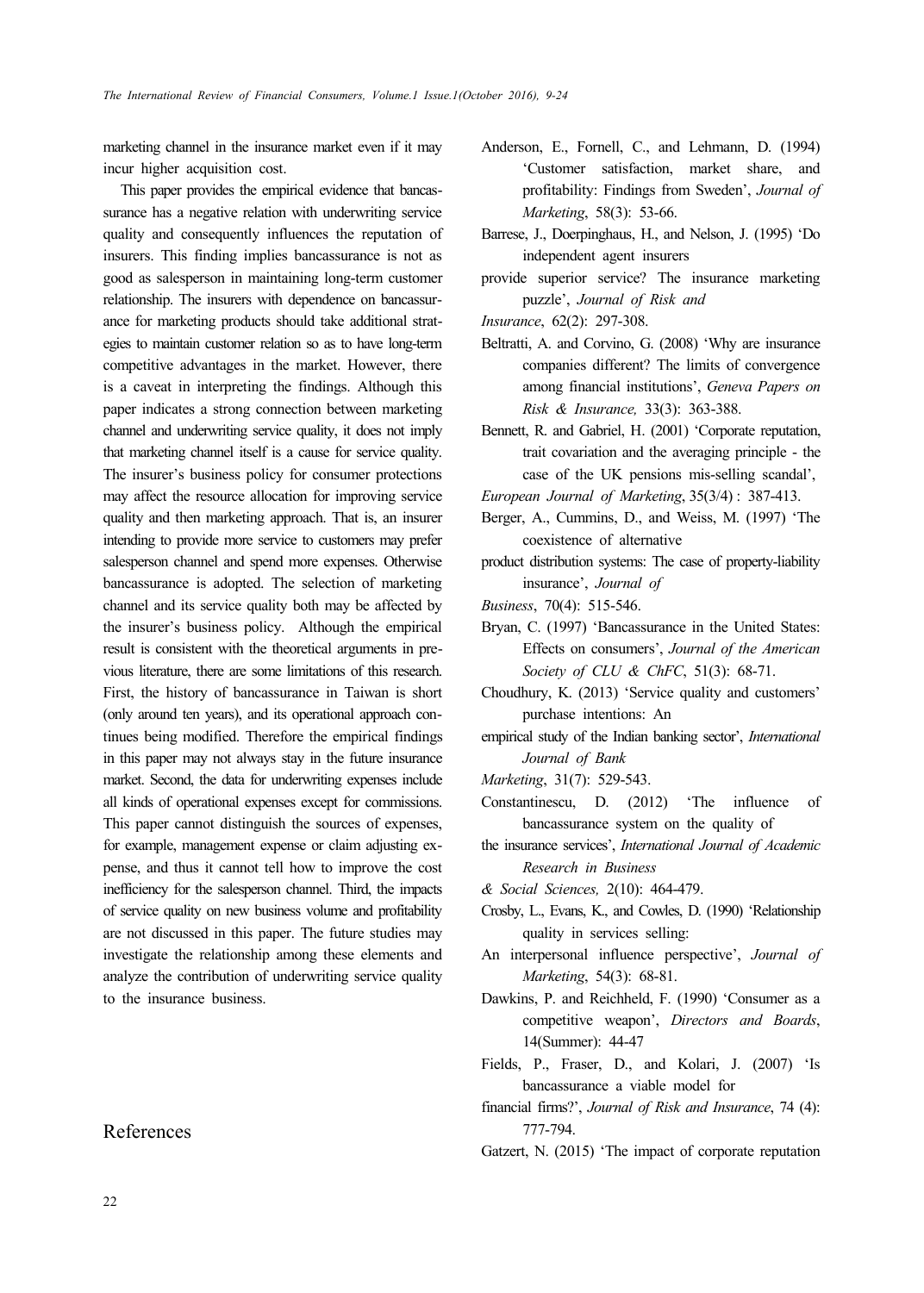marketing channel in the insurance market even if it may incur higher acquisition cost.

This paper provides the empirical evidence that bancassurance has a negative relation with underwriting service quality and consequently influences the reputation of insurers. This finding implies bancassurance is not as good as salesperson in maintaining long-term customer relationship. The insurers with dependence on bancassurance for marketing products should take additional strategies to maintain customer relation so as to have long-term competitive advantages in the market. However, there is a caveat in interpreting the findings. Although this paper indicates a strong connection between marketing channel and underwriting service quality, it does not imply that marketing channel itself is a cause for service quality. The insurer's business policy for consumer protections may affect the resource allocation for improving service quality and then marketing approach. That is, an insurer intending to provide more service to customers may prefer salesperson channel and spend more expenses. Otherwise bancassurance is adopted. The selection of marketing channel and its service quality both may be affected by the insurer's business policy. Although the empirical result is consistent with the theoretical arguments in previous literature, there are some limitations of this research. First, the history of bancassurance in Taiwan is short (only around ten years), and its operational approach continues being modified. Therefore the empirical findings in this paper may not always stay in the future insurance market. Second, the data for underwriting expenses include all kinds of operational expenses except for commissions. This paper cannot distinguish the sources of expenses, for example, management expense or claim adjusting expense, and thus it cannot tell how to improve the cost inefficiency for the salesperson channel. Third, the impacts of service quality on new business volume and profitability are not discussed in this paper. The future studies may investigate the relationship among these elements and analyze the contribution of underwriting service quality to the insurance business.

## References

- Anderson, E., Fornell, C., and Lehmann, D. (1994) 'Customer satisfaction, market share, and profitability: Findings from Sweden', *Journal of Marketing*, 58(3): 53-66.
- Barrese, J., Doerpinghaus, H., and Nelson, J. (1995) 'Do independent agent insurers
- provide superior service? The insurance marketing puzzle', *Journal of Risk and*
- *Insurance*, 62(2): 297-308.
- Beltratti, A. and Corvino, G. (2008) 'Why are insurance companies different? The limits of convergence among financial institutions', *Geneva Papers on Risk & Insurance,* 33(3): 363-388.
- Bennett, R. and Gabriel, H. (2001) 'Corporate reputation, trait covariation and the averaging principle - the case of the UK pensions mis-selling scandal',
- *European Journal of Marketing*, 35(3/4) : 387-413.
- Berger, A., Cummins, D., and Weiss, M. (1997) 'The coexistence of alternative

product distribution systems: The case of property-liability insurance', *Journal of* 

- *Business*, 70(4): 515-546.
- Bryan, C. (1997) 'Bancassurance in the United States: Effects on consumers', *Journal of the American Society of CLU & ChFC*, 51(3): 68-71.
- Choudhury, K. (2013) 'Service quality and customers' purchase intentions: An
- empirical study of the Indian banking sector', *International Journal of Bank*
- *Marketing*, 31(7): 529-543.
- Constantinescu, D. (2012) 'The influence of bancassurance system on the quality of
- the insurance services', *International Journal of Academic Research in Business*
- *& Social Sciences,* 2(10): 464-479.
- Crosby, L., Evans, K., and Cowles, D. (1990) 'Relationship quality in services selling:
- An interpersonal influence perspective', *Journal of Marketing*, 54(3): 68-81.
- Dawkins, P. and Reichheld, F. (1990) 'Consumer as a competitive weapon', *Directors and Boards*, 14(Summer): 44-47
- Fields, P., Fraser, D., and Kolari, J. (2007) 'Is bancassurance a viable model for
- financial firms?', *Journal of Risk and Insurance*, 74 (4): 777-794.
- Gatzert, N. (2015) 'The impact of corporate reputation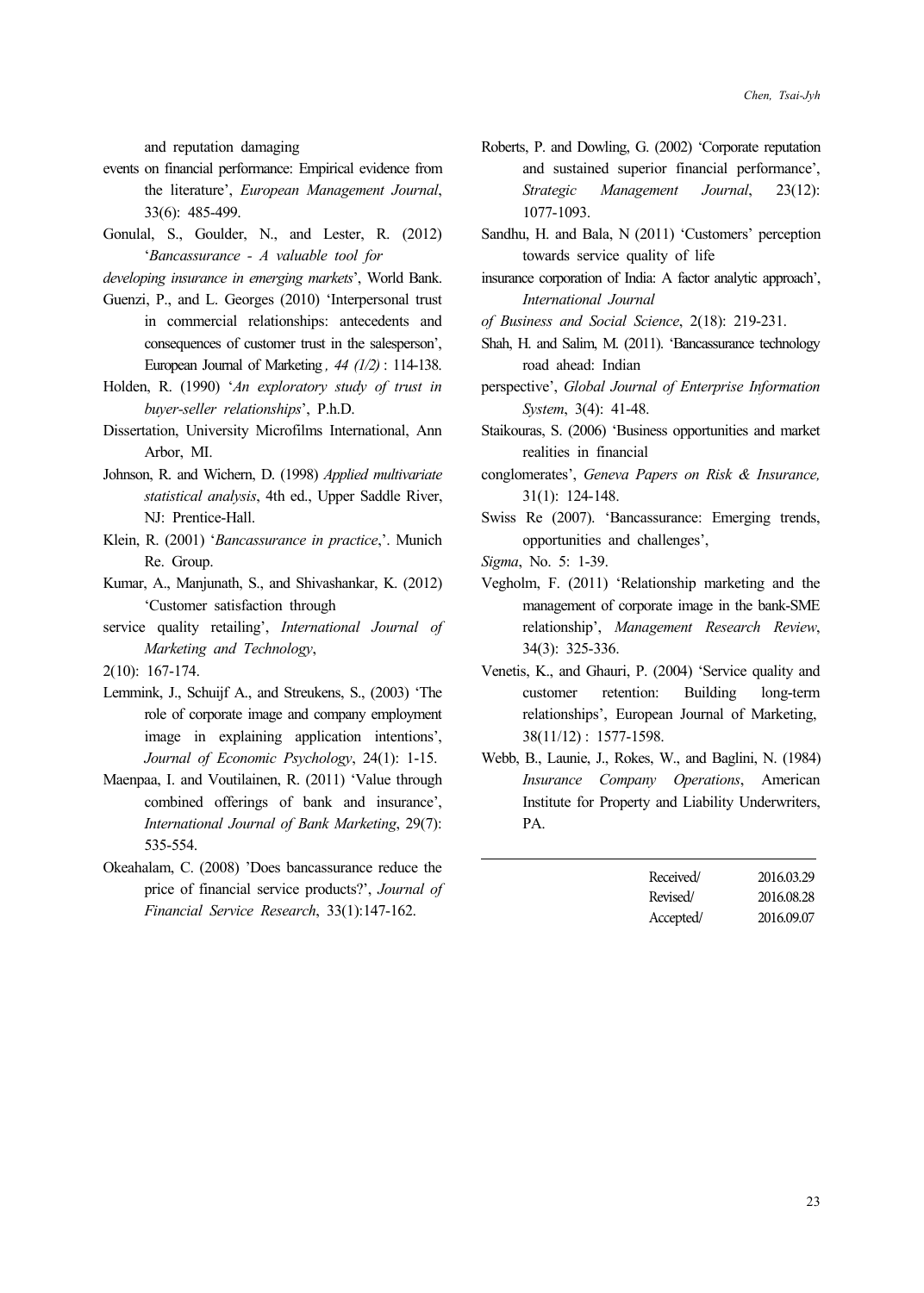and reputation damaging

- events on financial performance: Empirical evidence from the literature', *European Management Journal*, 33(6): 485-499.
- Gonulal, S., Goulder, N., and Lester, R. (2012) '*Bancassurance - A valuable tool for*

*developing insurance in emerging markets*', World Bank.

- Guenzi, P., and L. Georges (2010) 'Interpersonal trust in commercial relationships: antecedents and consequences of customer trust in the salesperson', European Journal of Marketing *, 44 (1/2)* : 114-138.
- Holden, R. (1990) '*An exploratory study of trust in buyer-seller relationships*', P.h.D.
- Dissertation, University Microfilms International, Ann Arbor, MI.
- Johnson, R. and Wichern, D. (1998) *Applied multivariate statistical analysis*, 4th ed., Upper Saddle River, NJ: Prentice-Hall.
- Klein, R. (2001) '*Bancassurance in practice*,'. Munich Re. Group.
- Kumar, A., Manjunath, S., and Shivashankar, K. (2012) 'Customer satisfaction through
- service quality retailing', *International Journal of Marketing and Technology*,

2(10): 167-174.

- Lemmink, J., Schuijf A., and Streukens, S., (2003) 'The role of corporate image and company employment image in explaining application intentions', *Journal of Economic Psychology*, 24(1): 1-15.
- Maenpaa, I. and Voutilainen, R. (2011) 'Value through combined offerings of bank and insurance', *International Journal of Bank Marketing*, 29(7): 535-554.
- Okeahalam, C. (2008) 'Does bancassurance reduce the price of financial service products?', *Journal of Financial Service Research*, 33(1):147-162.
- Roberts, P. and Dowling, G. (2002) 'Corporate reputation and sustained superior financial performance', *Strategic Management Journal*, 23(12): 1077-1093.
- Sandhu, H. and Bala, N (2011) 'Customers' perception towards service quality of life
- insurance corporation of India: A factor analytic approach', *International Journal*
- *of Business and Social Science*, 2(18): 219-231.
- Shah, H. and Salim, M. (2011). 'Bancassurance technology road ahead: Indian
- perspective', *Global Journal of Enterprise Information System*, 3(4): 41-48.
- Staikouras, S. (2006) 'Business opportunities and market realities in financial
- conglomerates', *Geneva Papers on Risk & Insurance,*  31(1): 124-148.
- Swiss Re (2007). 'Bancassurance: Emerging trends, opportunities and challenges',
- *Sigma*, No. 5: 1-39.
- Vegholm, F. (2011) 'Relationship marketing and the management of corporate image in the bank-SME relationship', *Management Research Review*, 34(3): 325-336.
- Venetis, K., and Ghauri, P. (2004) 'Service quality and customer retention: Building long-term relationships', European Journal of Marketing, 38(11/12) : 1577-1598.
- Webb, B., Launie, J., Rokes, W., and Baglini, N. (1984) *Insurance Company Operations*, American Institute for Property and Liability Underwriters, PA.

| Received/ | 2016.03.29 |
|-----------|------------|
| Revised/  | 2016.08.28 |
| Accepted/ | 2016.09.07 |